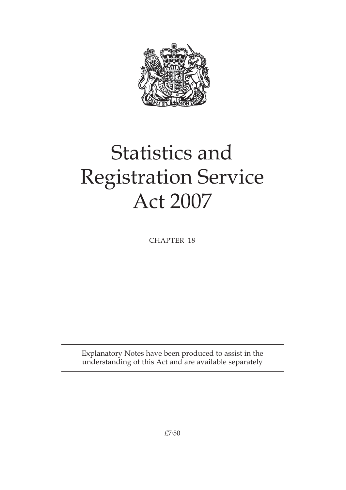

# Statistics and Registration Service Act 2007

CHAPTER 18

Explanatory Notes have been produced to assist in the understanding of this Act and are available separately

£7·50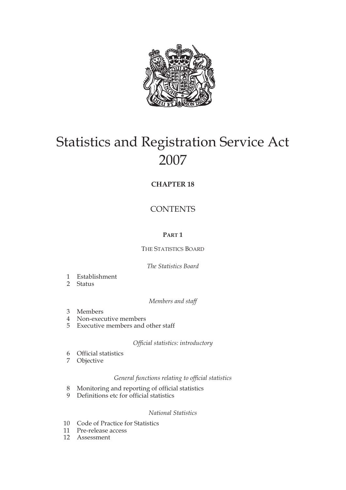

# Statistics and Registration Service Act 2007

# **CHAPTER 18**

# **CONTENTS**

# **PART 1**

# THE STATISTICS BOARD

# *The Statistics Board*

- 1 Establishment
- 2 Status

*Members and staff*

- 3 Members
- 4 Non-executive members
- 5 Executive members and other staff

# *Official statistics: introductory*

- 6 Official statistics
- **Objective**

# *General functions relating to official statistics*

- 8 Monitoring and reporting of official statistics<br>9 Definitions etc for official statistics
- Definitions etc for official statistics

# *National Statistics*

- 10 Code of Practice for Statistics
- 11 Pre-release access
- 12 Assessment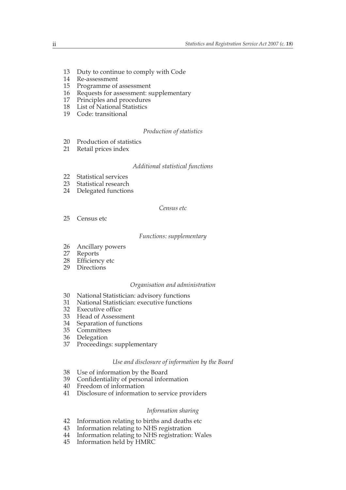- 13 Duty to continue to comply with Code
- 14 Re-assessment
- 15 Programme of assessment
- 16 Requests for assessment: supplementary
- 17 Principles and procedures
- 18 List of National Statistics
- 19 Code: transitional

#### *Production of statistics*

- 20 Production of statistics
- 21 Retail prices index

#### *Additional statistical functions*

- 22 Statistical services<br>23 Statistical research
- Statistical research
- 24 Delegated functions

#### *Census etc*

25 Census etc

#### *Functions: supplementary*

- 26 Ancillary powers<br>27 Reports
- **Reports**
- 28 Efficiency etc
- 29 Directions

#### *Organisation and administration*

- 30 National Statistician: advisory functions
- 31 National Statistician: executive functions
- 32 Executive office
- 33 Head of Assessment
- 34 Separation of functions
- 35 Committees
- 36 Delegation
- 37 Proceedings: supplementary

#### *Use and disclosure of information by the Board*

- 38 Use of information by the Board
- 39 Confidentiality of personal information
- 40 Freedom of information
- 41 Disclosure of information to service providers

#### *Information sharing*

- 42 Information relating to births and deaths etc<br>43 Information relating to NHS registration
- 43 Information relating to NHS registration<br>44 Information relating to NHS registration:
- 44 Information relating to NHS registration: Wales
- Information held by HMRC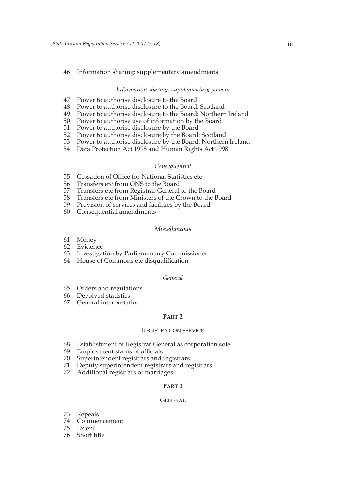#### 46 Information sharing: supplementary amendments

#### *Information sharing: supplementary powers*

- 47 Power to authorise disclosure to the Board
- 48 Power to authorise disclosure to the Board: Scotland<br>49 Power to authorise disclosure to the Board: Northerr
- Power to authorise disclosure to the Board: Northern Ireland
- 50 Power to authorise use of information by the Board
- 51 Power to authorise disclosure by the Board
- 52 Power to authorise disclosure by the Board: Scotland
- 53 Power to authorise disclosure by the Board: Northern Ireland
- 54 Data Protection Act 1998 and Human Rights Act 1998

#### *Consequential*

- 55 Cessation of Office for National Statistics etc<br>56 Transfers etc from ONS to the Board
- Transfers etc from ONS to the Board
- 57 Transfers etc from Registrar General to the Board
- 58 Transfers etc from Ministers of the Crown to the Board<br>59 Provision of services and facilities by the Board
- Provision of services and facilities by the Board
- 60 Consequential amendments

#### *Miscellaneous*

- 61 Money
- 62 Evidence<br>63 Investigat
- Investigation by Parliamentary Commissioner
- 64 House of Commons etc disqualification

#### *General*

- 65 Orders and regulations
- 66 Devolved statistics
- 67 General interpretation

#### **PART 2**

#### REGISTRATION SERVICE

- 68 Establishment of Registrar General as corporation sole
- 69 Employment status of officials
- 70 Superintendent registrars and registrars
- 71 Deputy superintendent registrars and registrars
- 72 Additional registrars of marriages

#### **PART 3**

#### **GENERAL**

- 73 Repeals
- 74 Commencement
- **Extent**
- 76 Short title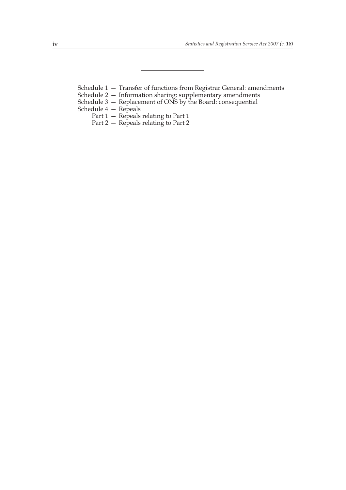Schedule 1 — Transfer of functions from Registrar General: amendments

- Schedule 2 Information sharing: supplementary amendments
- Schedule 3 Replacement of ONS by the Board: consequential
- Schedule 4 Repeals
	- Part 1 Repeals relating to Part 1
	- Part 2 Repeals relating to Part 2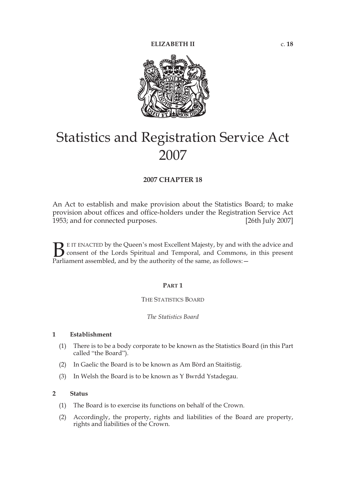

# Statistics and Registration Service Act 2007

# **2007 CHAPTER 18**

An Act to establish and make provision about the Statistics Board; to make provision about offices and office-holders under the Registration Service Act 1953; and for connected purposes. [26th July 2007]

E IT ENACTED by the Queen's most Excellent Majesty, by and with the advice and consent of the Lords Spiritual and Temporal, and Commons, in this present **P**EIT ENACTED by the Queen's most Excellent Majesty, by and with consent of the Lords Spiritual and Temporal, and Commons, Parliament assembled, and by the authority of the same, as follows:

#### **PART 1**

#### THE STATISTICS BOARD

#### *The Statistics Board*

#### **1 Establishment**

- (1) There is to be a body corporate to be known as the Statistics Board (in this Part called "the Board").
- (2) In Gaelic the Board is to be known as Am Bòrd an Staitistig.
- (3) In Welsh the Board is to be known as Y Bwrdd Ystadegau.

#### **2 Status**

- (1) The Board is to exercise its functions on behalf of the Crown.
- (2) Accordingly, the property, rights and liabilities of the Board are property, rights and liabilities of the Crown.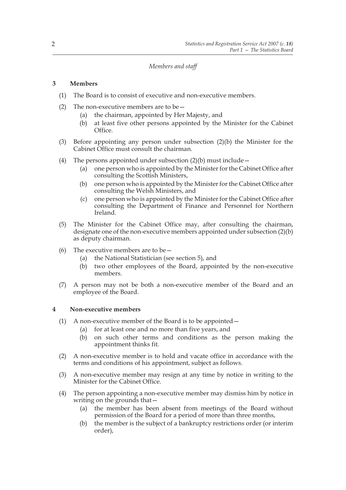#### *Members and staff*

# **3 Members**

- (1) The Board is to consist of executive and non-executive members.
- (2) The non-executive members are to be  $-$ 
	- (a) the chairman, appointed by Her Majesty, and
	- (b) at least five other persons appointed by the Minister for the Cabinet Office.
- (3) Before appointing any person under subsection (2)(b) the Minister for the Cabinet Office must consult the chairman.
- (4) The persons appointed under subsection  $(2)(b)$  must include
	- (a) one person who is appointed by the Minister for the Cabinet Office after consulting the Scottish Ministers,
	- (b) one person who is appointed by the Minister for the Cabinet Office after consulting the Welsh Ministers, and
	- (c) one person who is appointed by the Minister for the Cabinet Office after consulting the Department of Finance and Personnel for Northern Ireland.
- (5) The Minister for the Cabinet Office may, after consulting the chairman, designate one of the non-executive members appointed under subsection (2)(b) as deputy chairman.
- (6) The executive members are to be  $-$ 
	- (a) the National Statistician (see section 5), and
	- (b) two other employees of the Board, appointed by the non-executive members.
- (7) A person may not be both a non-executive member of the Board and an employee of the Board.

#### **4 Non-executive members**

- (1) A non-executive member of the Board is to be appointed—
	- (a) for at least one and no more than five years, and
	- (b) on such other terms and conditions as the person making the appointment thinks fit.
- (2) A non-executive member is to hold and vacate office in accordance with the terms and conditions of his appointment, subject as follows.
- (3) A non-executive member may resign at any time by notice in writing to the Minister for the Cabinet Office.
- (4) The person appointing a non-executive member may dismiss him by notice in writing on the grounds that—
	- (a) the member has been absent from meetings of the Board without permission of the Board for a period of more than three months,
	- (b) the member is the subject of a bankruptcy restrictions order (or interim order),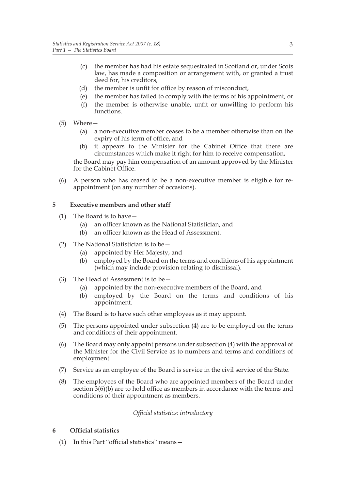- (c) the member has had his estate sequestrated in Scotland or, under Scots law, has made a composition or arrangement with, or granted a trust deed for, his creditors,
- (d) the member is unfit for office by reason of misconduct,
- (e) the member has failed to comply with the terms of his appointment, or
- (f) the member is otherwise unable, unfit or unwilling to perform his functions.
- (5) Where—
	- (a) a non-executive member ceases to be a member otherwise than on the expiry of his term of office, and
	- (b) it appears to the Minister for the Cabinet Office that there are circumstances which make it right for him to receive compensation,

the Board may pay him compensation of an amount approved by the Minister for the Cabinet Office.

(6) A person who has ceased to be a non-executive member is eligible for reappointment (on any number of occasions).

#### **5 Executive members and other staff**

- (1) The Board is to have—
	- (a) an officer known as the National Statistician, and
	- (b) an officer known as the Head of Assessment.
- (2) The National Statistician is to be  $-$ 
	- (a) appointed by Her Majesty, and
	- (b) employed by the Board on the terms and conditions of his appointment (which may include provision relating to dismissal).
- (3) The Head of Assessment is to be—
	- (a) appointed by the non-executive members of the Board, and
	- (b) employed by the Board on the terms and conditions of his appointment.
- (4) The Board is to have such other employees as it may appoint.
- (5) The persons appointed under subsection (4) are to be employed on the terms and conditions of their appointment.
- (6) The Board may only appoint persons under subsection (4) with the approval of the Minister for the Civil Service as to numbers and terms and conditions of employment.
- (7) Service as an employee of the Board is service in the civil service of the State.
- (8) The employees of the Board who are appointed members of the Board under section 3(6)(b) are to hold office as members in accordance with the terms and conditions of their appointment as members.

#### *Official statistics: introductory*

#### **6 Official statistics**

(1) In this Part "official statistics" means—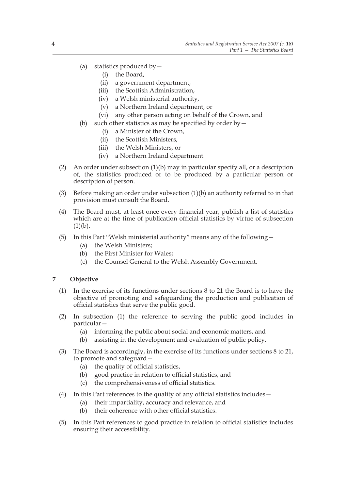- (a) statistics produced by  $-$ 
	- (i) the Board,
	- (ii) a government department,
	- (iii) the Scottish Administration,
	- (iv) a Welsh ministerial authority,
	- (v) a Northern Ireland department, or
	- (vi) any other person acting on behalf of the Crown, and
- (b) such other statistics as may be specified by order by  $-$ 
	- (i) a Minister of the Crown,
	- (ii) the Scottish Ministers,
	- (iii) the Welsh Ministers, or
	- (iv) a Northern Ireland department.
- (2) An order under subsection (1)(b) may in particular specify all, or a description of, the statistics produced or to be produced by a particular person or description of person.
- (3) Before making an order under subsection (1)(b) an authority referred to in that provision must consult the Board.
- (4) The Board must, at least once every financial year, publish a list of statistics which are at the time of publication official statistics by virtue of subsection  $(1)(b).$
- (5) In this Part "Welsh ministerial authority" means any of the following—
	- (a) the Welsh Ministers;
	- (b) the First Minister for Wales;
	- (c) the Counsel General to the Welsh Assembly Government.

# **7 Objective**

- (1) In the exercise of its functions under sections 8 to 21 the Board is to have the objective of promoting and safeguarding the production and publication of official statistics that serve the public good.
- (2) In subsection (1) the reference to serving the public good includes in particular—
	- (a) informing the public about social and economic matters, and
	- (b) assisting in the development and evaluation of public policy.
- (3) The Board is accordingly, in the exercise of its functions under sections 8 to 21, to promote and safeguard—
	- (a) the quality of official statistics,
	- (b) good practice in relation to official statistics, and
	- (c) the comprehensiveness of official statistics.
- (4) In this Part references to the quality of any official statistics includes—
	- (a) their impartiality, accuracy and relevance, and
	- (b) their coherence with other official statistics.
- (5) In this Part references to good practice in relation to official statistics includes ensuring their accessibility.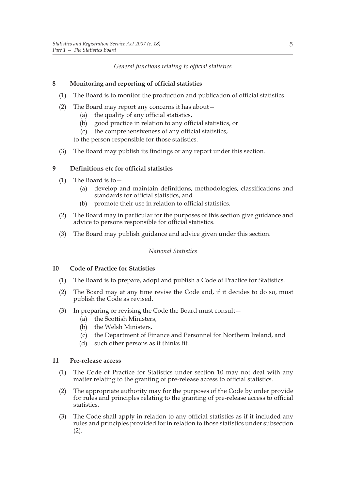# *General functions relating to official statistics*

# **8 Monitoring and reporting of official statistics**

- (1) The Board is to monitor the production and publication of official statistics.
- (2) The Board may report any concerns it has about—
	- (a) the quality of any official statistics,
	- (b) good practice in relation to any official statistics, or
	- (c) the comprehensiveness of any official statistics,

to the person responsible for those statistics.

(3) The Board may publish its findings or any report under this section.

# **9 Definitions etc for official statistics**

- (1) The Board is to—
	- (a) develop and maintain definitions, methodologies, classifications and standards for official statistics, and
	- (b) promote their use in relation to official statistics.
- (2) The Board may in particular for the purposes of this section give guidance and advice to persons responsible for official statistics.
- (3) The Board may publish guidance and advice given under this section.

*National Statistics*

# **10 Code of Practice for Statistics**

- (1) The Board is to prepare, adopt and publish a Code of Practice for Statistics.
- (2) The Board may at any time revise the Code and, if it decides to do so, must publish the Code as revised.
- (3) In preparing or revising the Code the Board must consult—
	- (a) the Scottish Ministers,
	- (b) the Welsh Ministers,
	- (c) the Department of Finance and Personnel for Northern Ireland, and
	- (d) such other persons as it thinks fit.

# **11 Pre-release access**

- (1) The Code of Practice for Statistics under section 10 may not deal with any matter relating to the granting of pre-release access to official statistics.
- (2) The appropriate authority may for the purposes of the Code by order provide for rules and principles relating to the granting of pre-release access to official statistics.
- (3) The Code shall apply in relation to any official statistics as if it included any rules and principles provided for in relation to those statistics under subsection (2).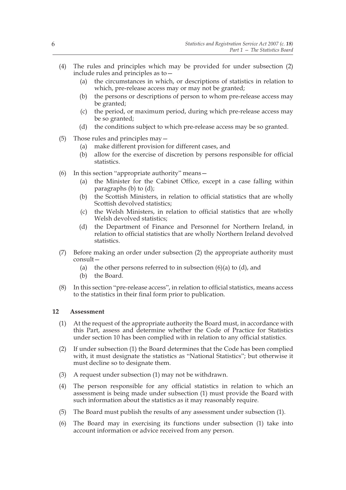- (4) The rules and principles which may be provided for under subsection (2) include rules and principles as to—
	- (a) the circumstances in which, or descriptions of statistics in relation to which, pre-release access may or may not be granted;
	- (b) the persons or descriptions of person to whom pre-release access may be granted;
	- (c) the period, or maximum period, during which pre-release access may be so granted;
	- (d) the conditions subject to which pre-release access may be so granted.
- (5) Those rules and principles may—
	- (a) make different provision for different cases, and
	- (b) allow for the exercise of discretion by persons responsible for official statistics.
- (6) In this section "appropriate authority" means—
	- (a) the Minister for the Cabinet Office, except in a case falling within paragraphs (b) to (d);
	- (b) the Scottish Ministers, in relation to official statistics that are wholly Scottish devolved statistics;
	- (c) the Welsh Ministers, in relation to official statistics that are wholly Welsh devolved statistics;
	- (d) the Department of Finance and Personnel for Northern Ireland, in relation to official statistics that are wholly Northern Ireland devolved statistics.
- (7) Before making an order under subsection (2) the appropriate authority must consult—
	- (a) the other persons referred to in subsection  $(6)(a)$  to  $(d)$ , and
	- (b) the Board.
- (8) In this section "pre-release access", in relation to official statistics, means access to the statistics in their final form prior to publication.

#### **12 Assessment**

- (1) At the request of the appropriate authority the Board must, in accordance with this Part, assess and determine whether the Code of Practice for Statistics under section 10 has been complied with in relation to any official statistics.
- (2) If under subsection (1) the Board determines that the Code has been complied with, it must designate the statistics as "National Statistics"; but otherwise it must decline so to designate them.
- (3) A request under subsection (1) may not be withdrawn.
- (4) The person responsible for any official statistics in relation to which an assessment is being made under subsection (1) must provide the Board with such information about the statistics as it may reasonably require.
- (5) The Board must publish the results of any assessment under subsection (1).
- (6) The Board may in exercising its functions under subsection (1) take into account information or advice received from any person.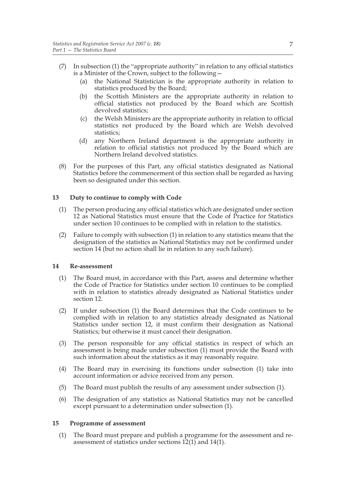- (7) In subsection (1) the "appropriate authority" in relation to any official statistics is a Minister of the Crown, subject to the following—
	- (a) the National Statistician is the appropriate authority in relation to statistics produced by the Board;
	- (b) the Scottish Ministers are the appropriate authority in relation to official statistics not produced by the Board which are Scottish devolved statistics;
	- (c) the Welsh Ministers are the appropriate authority in relation to official statistics not produced by the Board which are Welsh devolved statistics;
	- (d) any Northern Ireland department is the appropriate authority in relation to official statistics not produced by the Board which are Northern Ireland devolved statistics.
- (8) For the purposes of this Part, any official statistics designated as National Statistics before the commencement of this section shall be regarded as having been so designated under this section.

#### **13 Duty to continue to comply with Code**

- (1) The person producing any official statistics which are designated under section 12 as National Statistics must ensure that the Code of Practice for Statistics under section 10 continues to be complied with in relation to the statistics.
- (2) Failure to comply with subsection (1) in relation to any statistics means that the designation of the statistics as National Statistics may not be confirmed under section 14 (but no action shall lie in relation to any such failure).

#### **14 Re-assessment**

- (1) The Board must, in accordance with this Part, assess and determine whether the Code of Practice for Statistics under section 10 continues to be complied with in relation to statistics already designated as National Statistics under section 12.
- (2) If under subsection (1) the Board determines that the Code continues to be complied with in relation to any statistics already designated as National Statistics under section 12, it must confirm their designation as National Statistics; but otherwise it must cancel their designation.
- (3) The person responsible for any official statistics in respect of which an assessment is being made under subsection (1) must provide the Board with such information about the statistics as it may reasonably require.
- (4) The Board may in exercising its functions under subsection (1) take into account information or advice received from any person.
- (5) The Board must publish the results of any assessment under subsection (1).
- (6) The designation of any statistics as National Statistics may not be cancelled except pursuant to a determination under subsection (1).

#### **15 Programme of assessment**

(1) The Board must prepare and publish a programme for the assessment and reassessment of statistics under sections 12(1) and 14(1).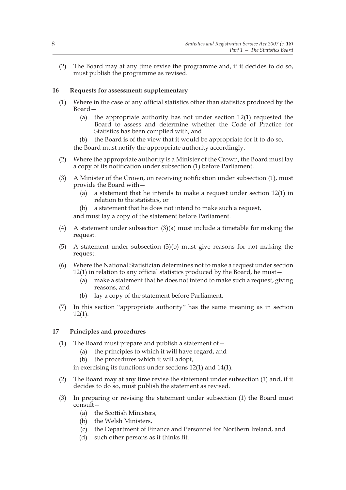(2) The Board may at any time revise the programme and, if it decides to do so, must publish the programme as revised.

#### **16 Requests for assessment: supplementary**

- (1) Where in the case of any official statistics other than statistics produced by the Board—
	- (a) the appropriate authority has not under section 12(1) requested the Board to assess and determine whether the Code of Practice for Statistics has been complied with, and
	- (b) the Board is of the view that it would be appropriate for it to do so, the Board must notify the appropriate authority accordingly.
- (2) Where the appropriate authority is a Minister of the Crown, the Board must lay a copy of its notification under subsection (1) before Parliament.
- (3) A Minister of the Crown, on receiving notification under subsection (1), must provide the Board with—
	- (a) a statement that he intends to make a request under section 12(1) in relation to the statistics, or
	- (b) a statement that he does not intend to make such a request,

and must lay a copy of the statement before Parliament.

- (4) A statement under subsection  $(3)(a)$  must include a timetable for making the request.
- (5) A statement under subsection (3)(b) must give reasons for not making the request.
- (6) Where the National Statistician determines not to make a request under section 12(1) in relation to any official statistics produced by the Board, he must—
	- (a) make a statement that he does not intend to make such a request, giving reasons, and
	- (b) lay a copy of the statement before Parliament.
- (7) In this section "appropriate authority" has the same meaning as in section 12(1).

# **17 Principles and procedures**

- (1) The Board must prepare and publish a statement of  $-$ 
	- (a) the principles to which it will have regard, and
	- (b) the procedures which it will adopt,

in exercising its functions under sections 12(1) and 14(1).

- (2) The Board may at any time revise the statement under subsection (1) and, if it decides to do so, must publish the statement as revised.
- (3) In preparing or revising the statement under subsection (1) the Board must consult—
	- (a) the Scottish Ministers,
	- (b) the Welsh Ministers,
	- (c) the Department of Finance and Personnel for Northern Ireland, and
	- (d) such other persons as it thinks fit.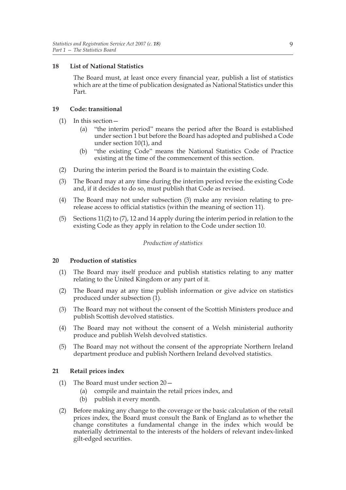#### **18 List of National Statistics**

The Board must, at least once every financial year, publish a list of statistics which are at the time of publication designated as National Statistics under this Part.

#### **19 Code: transitional**

- (1) In this section—
	- (a) "the interim period" means the period after the Board is established under section 1 but before the Board has adopted and published a Code under section 10(1), and
	- (b) "the existing Code" means the National Statistics Code of Practice existing at the time of the commencement of this section.
- (2) During the interim period the Board is to maintain the existing Code.
- (3) The Board may at any time during the interim period revise the existing Code and, if it decides to do so, must publish that Code as revised.
- (4) The Board may not under subsection (3) make any revision relating to prerelease access to official statistics (within the meaning of section 11).
- (5) Sections 11(2) to (7), 12 and 14 apply during the interim period in relation to the existing Code as they apply in relation to the Code under section 10.

# *Production of statistics*

#### **20 Production of statistics**

- (1) The Board may itself produce and publish statistics relating to any matter relating to the United Kingdom or any part of it.
- (2) The Board may at any time publish information or give advice on statistics produced under subsection  $(1)$ .
- (3) The Board may not without the consent of the Scottish Ministers produce and publish Scottish devolved statistics.
- (4) The Board may not without the consent of a Welsh ministerial authority produce and publish Welsh devolved statistics.
- (5) The Board may not without the consent of the appropriate Northern Ireland department produce and publish Northern Ireland devolved statistics.

#### **21 Retail prices index**

- (1) The Board must under section 20—
	- (a) compile and maintain the retail prices index, and
	- (b) publish it every month.
- (2) Before making any change to the coverage or the basic calculation of the retail prices index, the Board must consult the Bank of England as to whether the change constitutes a fundamental change in the index which would be materially detrimental to the interests of the holders of relevant index-linked gilt-edged securities.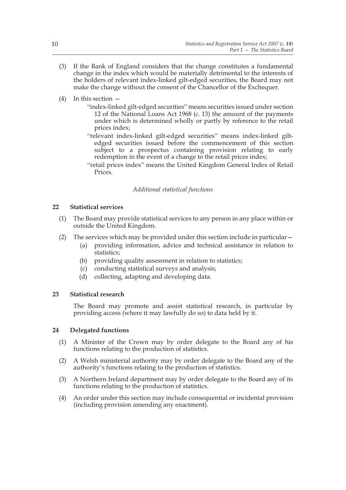- (3) If the Bank of England considers that the change constitutes a fundamental change in the index which would be materially detrimental to the interests of the holders of relevant index-linked gilt-edged securities, the Board may not make the change without the consent of the Chancellor of the Exchequer.
- (4) In this section
	- "index-linked gilt-edged securities" means securities issued under section 12 of the National Loans Act 1968 (c. 13) the amount of the payments under which is determined wholly or partly by reference to the retail prices index;
	- "relevant index-linked gilt-edged securities" means index-linked giltedged securities issued before the commencement of this section subject to a prospectus containing provision relating to early redemption in the event of a change to the retail prices index;
	- "retail prices index" means the United Kingdom General Index of Retail **Prices**

# *Additional statistical functions*

#### **22 Statistical services**

- (1) The Board may provide statistical services to any person in any place within or outside the United Kingdom.
- (2) The services which may be provided under this section include in particular—
	- (a) providing information, advice and technical assistance in relation to statistics:
	- (b) providing quality assessment in relation to statistics;
	- (c) conducting statistical surveys and analysis;
	- (d) collecting, adapting and developing data.

#### **23 Statistical research**

The Board may promote and assist statistical research, in particular by providing access (where it may lawfully do so) to data held by it.

#### **24 Delegated functions**

- (1) A Minister of the Crown may by order delegate to the Board any of his functions relating to the production of statistics.
- (2) A Welsh ministerial authority may by order delegate to the Board any of the authority's functions relating to the production of statistics.
- (3) A Northern Ireland department may by order delegate to the Board any of its functions relating to the production of statistics.
- (4) An order under this section may include consequential or incidental provision (including provision amending any enactment).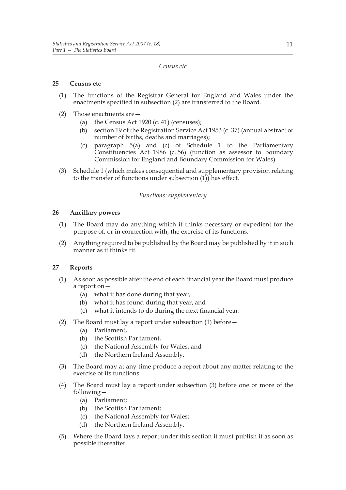#### *Census etc*

#### **25 Census etc**

- (1) The functions of the Registrar General for England and Wales under the enactments specified in subsection (2) are transferred to the Board.
- (2) Those enactments are—
	- (a) the Census Act  $1920$  (c. 41) (censuses);
	- (b) section 19 of the Registration Service Act 1953 (c. 37) (annual abstract of number of births, deaths and marriages);
	- (c) paragraph 5(a) and (c) of Schedule 1 to the Parliamentary Constituencies Act 1986 (c. 56) (function as assessor to Boundary Commission for England and Boundary Commission for Wales).
- (3) Schedule 1 (which makes consequential and supplementary provision relating to the transfer of functions under subsection (1)) has effect.

#### *Functions: supplementary*

# **26 Ancillary powers**

- (1) The Board may do anything which it thinks necessary or expedient for the purpose of, or in connection with, the exercise of its functions.
- (2) Anything required to be published by the Board may be published by it in such manner as it thinks fit.

# **27 Reports**

- (1) As soon as possible after the end of each financial year the Board must produce a report on—
	- (a) what it has done during that year,
	- (b) what it has found during that year, and
	- (c) what it intends to do during the next financial year.
- (2) The Board must lay a report under subsection (1) before—
	- (a) Parliament,
	- (b) the Scottish Parliament,
	- (c) the National Assembly for Wales, and
	- (d) the Northern Ireland Assembly.
- (3) The Board may at any time produce a report about any matter relating to the exercise of its functions.
- (4) The Board must lay a report under subsection (3) before one or more of the following—
	- (a) Parliament;
	- (b) the Scottish Parliament;
	- (c) the National Assembly for Wales;
	- (d) the Northern Ireland Assembly.
- (5) Where the Board lays a report under this section it must publish it as soon as possible thereafter.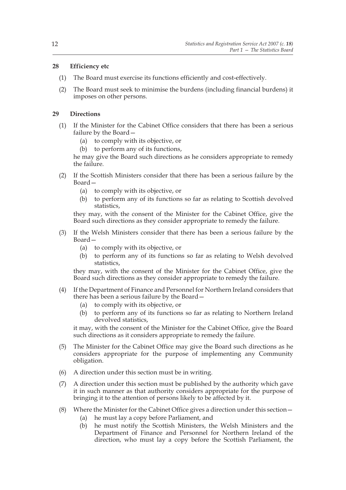# **28 Efficiency etc**

- (1) The Board must exercise its functions efficiently and cost-effectively.
- (2) The Board must seek to minimise the burdens (including financial burdens) it imposes on other persons.

# **29 Directions**

- (1) If the Minister for the Cabinet Office considers that there has been a serious failure by the Board—
	- (a) to comply with its objective, or
	- (b) to perform any of its functions,

he may give the Board such directions as he considers appropriate to remedy the failure.

- (2) If the Scottish Ministers consider that there has been a serious failure by the Board—
	- (a) to comply with its objective, or
	- (b) to perform any of its functions so far as relating to Scottish devolved statistics,

they may, with the consent of the Minister for the Cabinet Office, give the Board such directions as they consider appropriate to remedy the failure.

- (3) If the Welsh Ministers consider that there has been a serious failure by the Board—
	- (a) to comply with its objective, or
	- (b) to perform any of its functions so far as relating to Welsh devolved statistics,

they may, with the consent of the Minister for the Cabinet Office, give the Board such directions as they consider appropriate to remedy the failure.

- (4) If the Department of Finance and Personnel for Northern Ireland considers that there has been a serious failure by the Board—
	- (a) to comply with its objective, or
	- (b) to perform any of its functions so far as relating to Northern Ireland devolved statistics,

it may, with the consent of the Minister for the Cabinet Office, give the Board such directions as it considers appropriate to remedy the failure.

- (5) The Minister for the Cabinet Office may give the Board such directions as he considers appropriate for the purpose of implementing any Community obligation.
- (6) A direction under this section must be in writing.
- (7) A direction under this section must be published by the authority which gave it in such manner as that authority considers appropriate for the purpose of bringing it to the attention of persons likely to be affected by it.
- (8) Where the Minister for the Cabinet Office gives a direction under this section—
	- (a) he must lay a copy before Parliament, and
	- (b) he must notify the Scottish Ministers, the Welsh Ministers and the Department of Finance and Personnel for Northern Ireland of the direction, who must lay a copy before the Scottish Parliament, the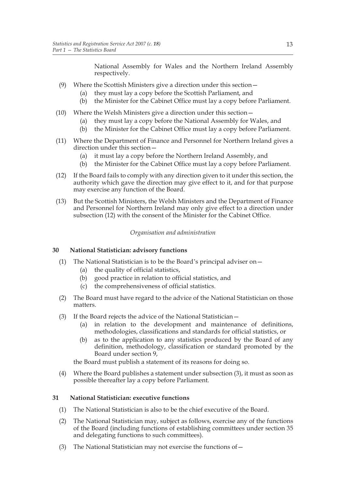National Assembly for Wales and the Northern Ireland Assembly respectively.

- (9) Where the Scottish Ministers give a direction under this section—
	- (a) they must lay a copy before the Scottish Parliament, and
	- (b) the Minister for the Cabinet Office must lay a copy before Parliament.
- (10) Where the Welsh Ministers give a direction under this section—
	- (a) they must lay a copy before the National Assembly for Wales, and
	- (b) the Minister for the Cabinet Office must lay a copy before Parliament.
- (11) Where the Department of Finance and Personnel for Northern Ireland gives a direction under this section—
	- (a) it must lay a copy before the Northern Ireland Assembly, and
	- (b) the Minister for the Cabinet Office must lay a copy before Parliament.
- (12) If the Board fails to comply with any direction given to it under this section, the authority which gave the direction may give effect to it, and for that purpose may exercise any function of the Board.
- (13) But the Scottish Ministers, the Welsh Ministers and the Department of Finance and Personnel for Northern Ireland may only give effect to a direction under subsection (12) with the consent of the Minister for the Cabinet Office.

#### *Organisation and administration*

#### **30 National Statistician: advisory functions**

- (1) The National Statistician is to be the Board's principal adviser on  $-$ 
	- (a) the quality of official statistics,
	- (b) good practice in relation to official statistics, and
	- (c) the comprehensiveness of official statistics.
- (2) The Board must have regard to the advice of the National Statistician on those matters.
- (3) If the Board rejects the advice of the National Statistician—
	- (a) in relation to the development and maintenance of definitions, methodologies, classifications and standards for official statistics, or
	- (b) as to the application to any statistics produced by the Board of any definition, methodology, classification or standard promoted by the Board under section 9,

the Board must publish a statement of its reasons for doing so.

(4) Where the Board publishes a statement under subsection (3), it must as soon as possible thereafter lay a copy before Parliament.

#### **31 National Statistician: executive functions**

- (1) The National Statistician is also to be the chief executive of the Board.
- (2) The National Statistician may, subject as follows, exercise any of the functions of the Board (including functions of establishing committees under section 35 and delegating functions to such committees).
- (3) The National Statistician may not exercise the functions of  $-$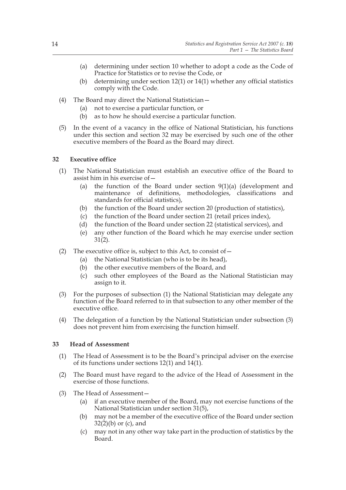- (a) determining under section 10 whether to adopt a code as the Code of Practice for Statistics or to revise the Code, or
- (b) determining under section 12(1) or 14(1) whether any official statistics comply with the Code.
- (4) The Board may direct the National Statistician—
	- (a) not to exercise a particular function, or
	- (b) as to how he should exercise a particular function.
- (5) In the event of a vacancy in the office of National Statistician, his functions under this section and section 32 may be exercised by such one of the other executive members of the Board as the Board may direct.

# **32 Executive office**

- (1) The National Statistician must establish an executive office of the Board to assist him in his exercise of—
	- (a) the function of the Board under section 9(1)(a) (development and maintenance of definitions, methodologies, classifications and standards for official statistics),
	- (b) the function of the Board under section 20 (production of statistics),
	- (c) the function of the Board under section 21 (retail prices index),
	- (d) the function of the Board under section 22 (statistical services), and
	- (e) any other function of the Board which he may exercise under section 31(2).
- (2) The executive office is, subject to this Act, to consist of  $-$ 
	- (a) the National Statistician (who is to be its head),
	- (b) the other executive members of the Board, and
	- (c) such other employees of the Board as the National Statistician may assign to it.
- (3) For the purposes of subsection (1) the National Statistician may delegate any function of the Board referred to in that subsection to any other member of the executive office.
- (4) The delegation of a function by the National Statistician under subsection (3) does not prevent him from exercising the function himself.

#### **33 Head of Assessment**

- (1) The Head of Assessment is to be the Board's principal adviser on the exercise of its functions under sections 12(1) and 14(1).
- (2) The Board must have regard to the advice of the Head of Assessment in the exercise of those functions.
- (3) The Head of Assessment—
	- (a) if an executive member of the Board, may not exercise functions of the National Statistician under section 31(5),
	- (b) may not be a member of the executive office of the Board under section  $32(2)(b)$  or (c), and
	- (c) may not in any other way take part in the production of statistics by the Board.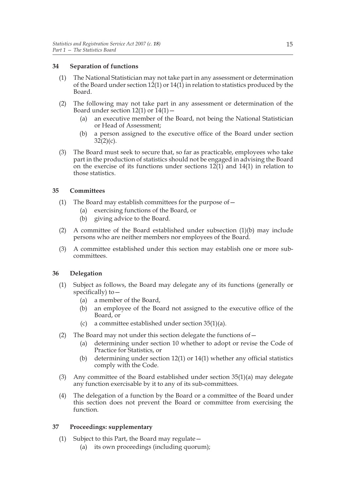#### **34 Separation of functions**

- (1) The National Statistician may not take part in any assessment or determination of the Board under section  $12(1)$  or  $14(1)$  in relation to statistics produced by the Board.
- (2) The following may not take part in any assessment or determination of the Board under section 12(1) or  $14(1)$  –
	- (a) an executive member of the Board, not being the National Statistician or Head of Assessment;
	- (b) a person assigned to the executive office of the Board under section  $32(2)(c)$ .
- (3) The Board must seek to secure that, so far as practicable, employees who take part in the production of statistics should not be engaged in advising the Board on the exercise of its functions under sections  $12(1)$  and  $14(1)$  in relation to those statistics.

# **35 Committees**

- (1) The Board may establish committees for the purpose of—
	- (a) exercising functions of the Board, or
	- (b) giving advice to the Board.
- (2) A committee of the Board established under subsection  $(1)(b)$  may include persons who are neither members nor employees of the Board.
- (3) A committee established under this section may establish one or more subcommittees.

#### **36 Delegation**

- (1) Subject as follows, the Board may delegate any of its functions (generally or specifically) to—
	- (a) a member of the Board,
	- (b) an employee of the Board not assigned to the executive office of the Board, or
	- (c) a committee established under section 35(1)(a).
- (2) The Board may not under this section delegate the functions of—
	- (a) determining under section 10 whether to adopt or revise the Code of Practice for Statistics, or
	- (b) determining under section 12(1) or 14(1) whether any official statistics comply with the Code.
- (3) Any committee of the Board established under section 35(1)(a) may delegate any function exercisable by it to any of its sub-committees.
- (4) The delegation of a function by the Board or a committee of the Board under this section does not prevent the Board or committee from exercising the function.

#### **37 Proceedings: supplementary**

- (1) Subject to this Part, the Board may regulate—
	- (a) its own proceedings (including quorum);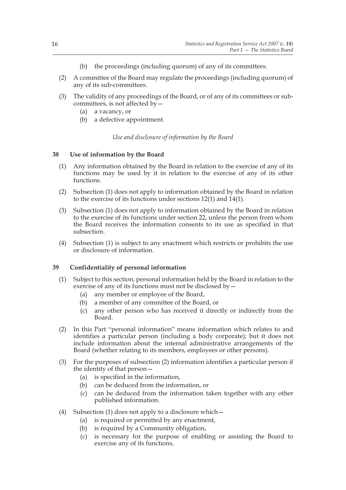- (b) the proceedings (including quorum) of any of its committees.
- (2) A committee of the Board may regulate the proceedings (including quorum) of any of its sub-committees.
- (3) The validity of any proceedings of the Board, or of any of its committees or subcommittees, is not affected by—
	- (a) a vacancy, or
	- (b) a defective appointment.

*Use and disclosure of information by the Board*

# **38 Use of information by the Board**

- (1) Any information obtained by the Board in relation to the exercise of any of its functions may be used by it in relation to the exercise of any of its other functions.
- (2) Subsection (1) does not apply to information obtained by the Board in relation to the exercise of its functions under sections 12(1) and 14(1).
- (3) Subsection (1) does not apply to information obtained by the Board in relation to the exercise of its functions under section 22, unless the person from whom the Board receives the information consents to its use as specified in that subsection.
- (4) Subsection (1) is subject to any enactment which restricts or prohibits the use or disclosure of information.

# **39 Confidentiality of personal information**

- (1) Subject to this section, personal information held by the Board in relation to the exercise of any of its functions must not be disclosed by—
	- (a) any member or employee of the Board,
	- (b) a member of any committee of the Board, or
	- (c) any other person who has received it directly or indirectly from the Board.
- (2) In this Part "personal information" means information which relates to and identifies a particular person (including a body corporate); but it does not include information about the internal administrative arrangements of the Board (whether relating to its members, employees or other persons).
- (3) For the purposes of subsection (2) information identifies a particular person if the identity of that person—
	- (a) is specified in the information,
	- (b) can be deduced from the information, or
	- (c) can be deduced from the information taken together with any other published information.
- (4) Subsection (1) does not apply to a disclosure which—
	- (a) is required or permitted by any enactment,
	- (b) is required by a Community obligation,
	- (c) is necessary for the purpose of enabling or assisting the Board to exercise any of its functions,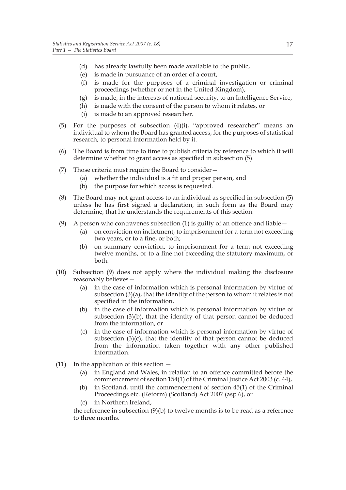- (d) has already lawfully been made available to the public,
- (e) is made in pursuance of an order of a court,
- (f) is made for the purposes of a criminal investigation or criminal proceedings (whether or not in the United Kingdom),
- (g) is made, in the interests of national security, to an Intelligence Service,
- (h) is made with the consent of the person to whom it relates, or
- (i) is made to an approved researcher.
- (5) For the purposes of subsection (4)(i), "approved researcher" means an individual to whom the Board has granted access, for the purposes of statistical research, to personal information held by it.
- (6) The Board is from time to time to publish criteria by reference to which it will determine whether to grant access as specified in subsection (5).
- (7) Those criteria must require the Board to consider—
	- (a) whether the individual is a fit and proper person, and
	- (b) the purpose for which access is requested.
- (8) The Board may not grant access to an individual as specified in subsection (5) unless he has first signed a declaration, in such form as the Board may determine, that he understands the requirements of this section.
- (9) A person who contravenes subsection (1) is guilty of an offence and liable  $-$ 
	- (a) on conviction on indictment, to imprisonment for a term not exceeding two years, or to a fine, or both;
	- (b) on summary conviction, to imprisonment for a term not exceeding twelve months, or to a fine not exceeding the statutory maximum, or both.
- (10) Subsection (9) does not apply where the individual making the disclosure reasonably believes—
	- (a) in the case of information which is personal information by virtue of subsection (3)(a), that the identity of the person to whom it relates is not specified in the information,
	- (b) in the case of information which is personal information by virtue of subsection (3)(b), that the identity of that person cannot be deduced from the information, or
	- (c) in the case of information which is personal information by virtue of subsection (3)(c), that the identity of that person cannot be deduced from the information taken together with any other published information.
- (11) In the application of this section  $-$ 
	- (a) in England and Wales, in relation to an offence committed before the commencement of section 154(1) of the Criminal Justice Act 2003 (c. 44),
	- (b) in Scotland, until the commencement of section 45(1) of the Criminal Proceedings etc. (Reform) (Scotland) Act 2007 (asp 6), or
	- (c) in Northern Ireland,

the reference in subsection (9)(b) to twelve months is to be read as a reference to three months.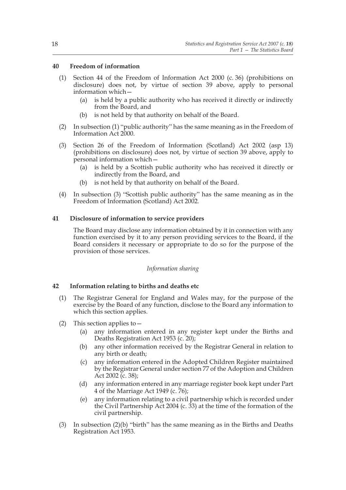#### **40 Freedom of information**

- (1) Section 44 of the Freedom of Information Act 2000 (c. 36) (prohibitions on disclosure) does not, by virtue of section 39 above, apply to personal information which—
	- (a) is held by a public authority who has received it directly or indirectly from the Board, and
	- (b) is not held by that authority on behalf of the Board.
- (2) In subsection (1) "public authority" has the same meaning as in the Freedom of Information Act 2000.
- (3) Section 26 of the Freedom of Information (Scotland) Act 2002 (asp 13) (prohibitions on disclosure) does not, by virtue of section 39 above, apply to personal information which—
	- (a) is held by a Scottish public authority who has received it directly or indirectly from the Board, and
	- (b) is not held by that authority on behalf of the Board.
- (4) In subsection (3) "Scottish public authority" has the same meaning as in the Freedom of Information (Scotland) Act 2002.

# **41 Disclosure of information to service providers**

The Board may disclose any information obtained by it in connection with any function exercised by it to any person providing services to the Board, if the Board considers it necessary or appropriate to do so for the purpose of the provision of those services.

#### *Information sharing*

#### **42 Information relating to births and deaths etc**

- (1) The Registrar General for England and Wales may, for the purpose of the exercise by the Board of any function, disclose to the Board any information to which this section applies.
- (2) This section applies to  $-$ 
	- (a) any information entered in any register kept under the Births and Deaths Registration Act 1953 (c. 20);
	- (b) any other information received by the Registrar General in relation to any birth or death;
	- (c) any information entered in the Adopted Children Register maintained by the Registrar General under section 77 of the Adoption and Children Act 2002 (c. 38);
	- (d) any information entered in any marriage register book kept under Part 4 of the Marriage Act 1949 (c. 76);
	- (e) any information relating to a civil partnership which is recorded under the Civil Partnership Act 2004 (c. 33) at the time of the formation of the civil partnership.
- (3) In subsection (2)(b) "birth" has the same meaning as in the Births and Deaths Registration Act 1953.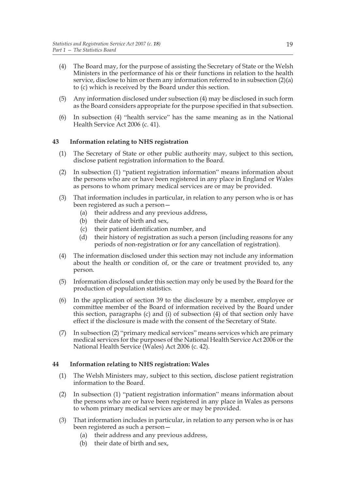- (4) The Board may, for the purpose of assisting the Secretary of State or the Welsh Ministers in the performance of his or their functions in relation to the health service, disclose to him or them any information referred to in subsection (2)(a) to (c) which is received by the Board under this section.
- (5) Any information disclosed under subsection (4) may be disclosed in such form as the Board considers appropriate for the purpose specified in that subsection.
- (6) In subsection (4) "health service" has the same meaning as in the National Health Service Act 2006 (c. 41).

# **43 Information relating to NHS registration**

- (1) The Secretary of State or other public authority may, subject to this section, disclose patient registration information to the Board.
- (2) In subsection (1) "patient registration information" means information about the persons who are or have been registered in any place in England or Wales as persons to whom primary medical services are or may be provided.
- (3) That information includes in particular, in relation to any person who is or has been registered as such a person—
	- (a) their address and any previous address,
	- (b) their date of birth and sex,
	- (c) their patient identification number, and
	- (d) their history of registration as such a person (including reasons for any periods of non-registration or for any cancellation of registration).
- (4) The information disclosed under this section may not include any information about the health or condition of, or the care or treatment provided to, any person.
- (5) Information disclosed under this section may only be used by the Board for the production of population statistics.
- (6) In the application of section 39 to the disclosure by a member, employee or committee member of the Board of information received by the Board under this section, paragraphs (c) and (i) of subsection (4) of that section only have effect if the disclosure is made with the consent of the Secretary of State.
- (7) In subsection (2) "primary medical services" means services which are primary medical services for the purposes of the National Health Service Act 2006 or the National Health Service (Wales) Act 2006 (c. 42).

#### **44 Information relating to NHS registration: Wales**

- (1) The Welsh Ministers may, subject to this section, disclose patient registration information to the Board.
- (2) In subsection (1) "patient registration information" means information about the persons who are or have been registered in any place in Wales as persons to whom primary medical services are or may be provided.
- (3) That information includes in particular, in relation to any person who is or has been registered as such a person—
	- (a) their address and any previous address,
	- (b) their date of birth and sex,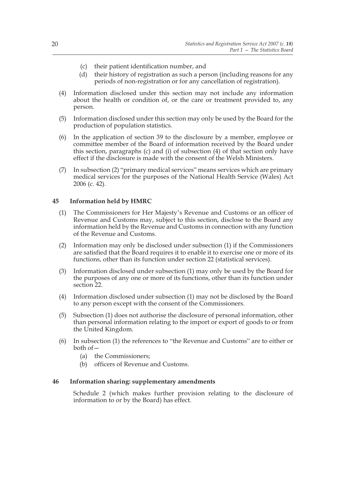- (c) their patient identification number, and
- (d) their history of registration as such a person (including reasons for any periods of non-registration or for any cancellation of registration).
- (4) Information disclosed under this section may not include any information about the health or condition of, or the care or treatment provided to, any person.
- (5) Information disclosed under this section may only be used by the Board for the production of population statistics.
- (6) In the application of section 39 to the disclosure by a member, employee or committee member of the Board of information received by the Board under this section, paragraphs (c) and (i) of subsection (4) of that section only have effect if the disclosure is made with the consent of the Welsh Ministers.
- (7) In subsection (2) "primary medical services" means services which are primary medical services for the purposes of the National Health Service (Wales) Act 2006 (c. 42).

#### **45 Information held by HMRC**

- (1) The Commissioners for Her Majesty's Revenue and Customs or an officer of Revenue and Customs may, subject to this section, disclose to the Board any information held by the Revenue and Customs in connection with any function of the Revenue and Customs.
- (2) Information may only be disclosed under subsection (1) if the Commissioners are satisfied that the Board requires it to enable it to exercise one or more of its functions, other than its function under section 22 (statistical services).
- (3) Information disclosed under subsection (1) may only be used by the Board for the purposes of any one or more of its functions, other than its function under section 22.
- (4) Information disclosed under subsection (1) may not be disclosed by the Board to any person except with the consent of the Commissioners.
- (5) Subsection (1) does not authorise the disclosure of personal information, other than personal information relating to the import or export of goods to or from the United Kingdom.
- (6) In subsection (1) the references to "the Revenue and Customs" are to either or both of—
	- (a) the Commissioners;
	- (b) officers of Revenue and Customs.

#### **46 Information sharing: supplementary amendments**

Schedule 2 (which makes further provision relating to the disclosure of information to or by the Board) has effect.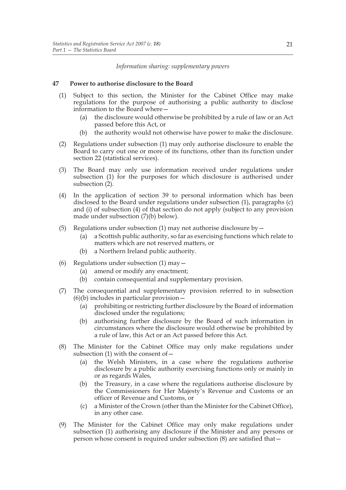#### *Information sharing: supplementary powers*

#### **47 Power to authorise disclosure to the Board**

- (1) Subject to this section, the Minister for the Cabinet Office may make regulations for the purpose of authorising a public authority to disclose information to the Board where—
	- (a) the disclosure would otherwise be prohibited by a rule of law or an Act passed before this Act, or
	- (b) the authority would not otherwise have power to make the disclosure.
- (2) Regulations under subsection (1) may only authorise disclosure to enable the Board to carry out one or more of its functions, other than its function under section 22 (statistical services).
- (3) The Board may only use information received under regulations under subsection (1) for the purposes for which disclosure is authorised under subsection (2).
- (4) In the application of section 39 to personal information which has been disclosed to the Board under regulations under subsection (1), paragraphs (c) and (i) of subsection (4) of that section do not apply (subject to any provision made under subsection (7)(b) below).
- (5) Regulations under subsection (1) may not authorise disclosure by  $-$ 
	- (a) a Scottish public authority, so far as exercising functions which relate to matters which are not reserved matters, or
	- (b) a Northern Ireland public authority.
- (6) Regulations under subsection  $(1)$  may  $-$ 
	- (a) amend or modify any enactment;
	- (b) contain consequential and supplementary provision.
- (7) The consequential and supplementary provision referred to in subsection  $(6)(b)$  includes in particular provision  $-\frac{1}{2}$ 
	- (a) prohibiting or restricting further disclosure by the Board of information disclosed under the regulations;
	- (b) authorising further disclosure by the Board of such information in circumstances where the disclosure would otherwise be prohibited by a rule of law, this Act or an Act passed before this Act.
- (8) The Minister for the Cabinet Office may only make regulations under subsection (1) with the consent of—
	- (a) the Welsh Ministers, in a case where the regulations authorise disclosure by a public authority exercising functions only or mainly in or as regards Wales,
	- (b) the Treasury, in a case where the regulations authorise disclosure by the Commissioners for Her Majesty's Revenue and Customs or an officer of Revenue and Customs, or
	- (c) a Minister of the Crown (other than the Minister for the Cabinet Office), in any other case.
- (9) The Minister for the Cabinet Office may only make regulations under subsection (1) authorising any disclosure if the Minister and any persons or person whose consent is required under subsection (8) are satisfied that—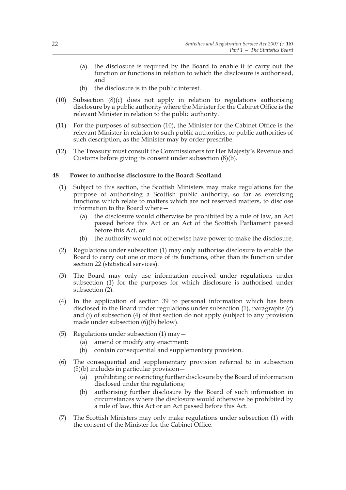- (a) the disclosure is required by the Board to enable it to carry out the function or functions in relation to which the disclosure is authorised, and
- (b) the disclosure is in the public interest.
- (10) Subsection (8)(c) does not apply in relation to regulations authorising disclosure by a public authority where the Minister for the Cabinet Office is the relevant Minister in relation to the public authority.
- (11) For the purposes of subsection (10), the Minister for the Cabinet Office is the relevant Minister in relation to such public authorities, or public authorities of such description, as the Minister may by order prescribe.
- (12) The Treasury must consult the Commissioners for Her Majesty's Revenue and Customs before giving its consent under subsection (8)(b).

#### **48 Power to authorise disclosure to the Board: Scotland**

- (1) Subject to this section, the Scottish Ministers may make regulations for the purpose of authorising a Scottish public authority, so far as exercising functions which relate to matters which are not reserved matters, to disclose information to the Board where—
	- (a) the disclosure would otherwise be prohibited by a rule of law, an Act passed before this Act or an Act of the Scottish Parliament passed before this Act, or
	- (b) the authority would not otherwise have power to make the disclosure.
- (2) Regulations under subsection (1) may only authorise disclosure to enable the Board to carry out one or more of its functions, other than its function under section 22 (statistical services).
- (3) The Board may only use information received under regulations under subsection (1) for the purposes for which disclosure is authorised under subsection  $(2)$ .
- (4) In the application of section 39 to personal information which has been disclosed to the Board under regulations under subsection (1), paragraphs (c) and (i) of subsection (4) of that section do not apply (subject to any provision made under subsection (6)(b) below).
- (5) Regulations under subsection  $(1)$  may  $-$ 
	- (a) amend or modify any enactment;
	- (b) contain consequential and supplementary provision.
- (6) The consequential and supplementary provision referred to in subsection (5)(b) includes in particular provision—
	- (a) prohibiting or restricting further disclosure by the Board of information disclosed under the regulations;
	- (b) authorising further disclosure by the Board of such information in circumstances where the disclosure would otherwise be prohibited by a rule of law, this Act or an Act passed before this Act.
- (7) The Scottish Ministers may only make regulations under subsection (1) with the consent of the Minister for the Cabinet Office.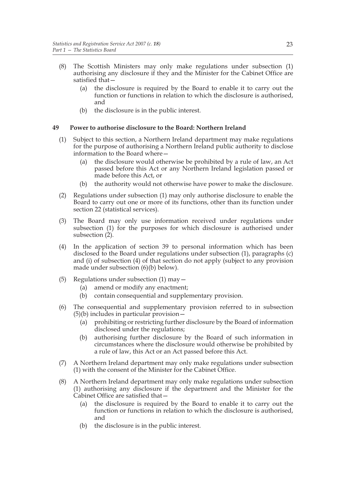- (8) The Scottish Ministers may only make regulations under subsection (1) authorising any disclosure if they and the Minister for the Cabinet Office are satisfied that—
	- (a) the disclosure is required by the Board to enable it to carry out the function or functions in relation to which the disclosure is authorised, and
	- (b) the disclosure is in the public interest.

#### **49 Power to authorise disclosure to the Board: Northern Ireland**

- (1) Subject to this section, a Northern Ireland department may make regulations for the purpose of authorising a Northern Ireland public authority to disclose information to the Board where
	- the disclosure would otherwise be prohibited by a rule of law, an Act passed before this Act or any Northern Ireland legislation passed or made before this Act, or
	- (b) the authority would not otherwise have power to make the disclosure.
- (2) Regulations under subsection (1) may only authorise disclosure to enable the Board to carry out one or more of its functions, other than its function under section 22 (statistical services).
- (3) The Board may only use information received under regulations under subsection (1) for the purposes for which disclosure is authorised under subsection (2).
- (4) In the application of section 39 to personal information which has been disclosed to the Board under regulations under subsection (1), paragraphs (c) and (i) of subsection (4) of that section do not apply (subject to any provision made under subsection (6)(b) below).
- (5) Regulations under subsection (1) may—
	- (a) amend or modify any enactment;
	- (b) contain consequential and supplementary provision.
- (6) The consequential and supplementary provision referred to in subsection (5)(b) includes in particular provision—
	- (a) prohibiting or restricting further disclosure by the Board of information disclosed under the regulations;
	- (b) authorising further disclosure by the Board of such information in circumstances where the disclosure would otherwise be prohibited by a rule of law, this Act or an Act passed before this Act.
- (7) A Northern Ireland department may only make regulations under subsection (1) with the consent of the Minister for the Cabinet Office.
- (8) A Northern Ireland department may only make regulations under subsection (1) authorising any disclosure if the department and the Minister for the Cabinet Office are satisfied that—
	- (a) the disclosure is required by the Board to enable it to carry out the function or functions in relation to which the disclosure is authorised, and
	- (b) the disclosure is in the public interest.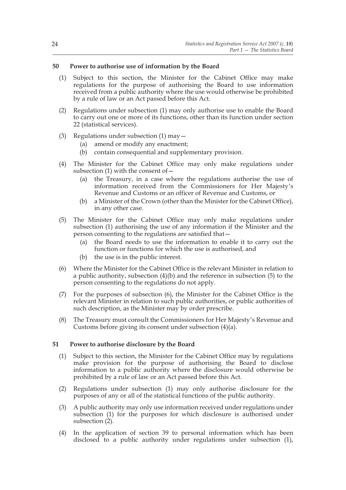#### **50 Power to authorise use of information by the Board**

- (1) Subject to this section, the Minister for the Cabinet Office may make regulations for the purpose of authorising the Board to use information received from a public authority where the use would otherwise be prohibited by a rule of law or an Act passed before this Act.
- (2) Regulations under subsection (1) may only authorise use to enable the Board to carry out one or more of its functions, other than its function under section 22 (statistical services).
- (3) Regulations under subsection (1) may—
	- (a) amend or modify any enactment;
	- (b) contain consequential and supplementary provision.
- (4) The Minister for the Cabinet Office may only make regulations under subsection (1) with the consent of  $-$ 
	- (a) the Treasury, in a case where the regulations authorise the use of information received from the Commissioners for Her Majesty's Revenue and Customs or an officer of Revenue and Customs, or
	- (b) a Minister of the Crown (other than the Minister for the Cabinet Office), in any other case.
- (5) The Minister for the Cabinet Office may only make regulations under subsection (1) authorising the use of any information if the Minister and the person consenting to the regulations are satisfied that—
	- (a) the Board needs to use the information to enable it to carry out the function or functions for which the use is authorised, and
	- (b) the use is in the public interest.
- (6) Where the Minister for the Cabinet Office is the relevant Minister in relation to a public authority, subsection (4)(b) and the reference in subsection (5) to the person consenting to the regulations do not apply.
- (7) For the purposes of subsection (6), the Minister for the Cabinet Office is the relevant Minister in relation to such public authorities, or public authorities of such description, as the Minister may by order prescribe.
- (8) The Treasury must consult the Commissioners for Her Majesty's Revenue and Customs before giving its consent under subsection (4)(a).

#### **51 Power to authorise disclosure by the Board**

- (1) Subject to this section, the Minister for the Cabinet Office may by regulations make provision for the purpose of authorising the Board to disclose information to a public authority where the disclosure would otherwise be prohibited by a rule of law or an Act passed before this Act.
- (2) Regulations under subsection (1) may only authorise disclosure for the purposes of any or all of the statistical functions of the public authority.
- (3) A public authority may only use information received under regulations under subsection (1) for the purposes for which disclosure is authorised under subsection (2).
- (4) In the application of section 39 to personal information which has been disclosed to a public authority under regulations under subsection (1),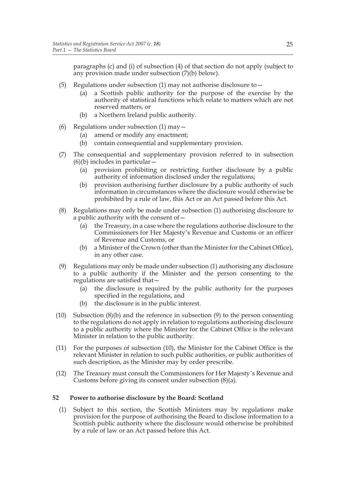paragraphs (c) and (i) of subsection (4) of that section do not apply (subject to any provision made under subsection (7)(b) below).

- (5) Regulations under subsection (1) may not authorise disclosure to  $-$ 
	- (a) a Scottish public authority for the purpose of the exercise by the authority of statistical functions which relate to matters which are not reserved matters, or
	- (b) a Northern Ireland public authority.
- (6) Regulations under subsection (1) may—
	- (a) amend or modify any enactment;
	- (b) contain consequential and supplementary provision.
- (7) The consequential and supplementary provision referred to in subsection  $(6)(b)$  includes in particular  $-$ 
	- (a) provision prohibiting or restricting further disclosure by a public authority of information disclosed under the regulations;
	- (b) provision authorising further disclosure by a public authority of such information in circumstances where the disclosure would otherwise be prohibited by a rule of law, this Act or an Act passed before this Act.
- (8) Regulations may only be made under subsection (1) authorising disclosure to a public authority with the consent of—
	- (a) the Treasury, in a case where the regulations authorise disclosure to the Commissioners for Her Majesty's Revenue and Customs or an officer of Revenue and Customs, or
	- (b) a Minister of the Crown (other than the Minister for the Cabinet Office), in any other case.
- (9) Regulations may only be made under subsection (1) authorising any disclosure to a public authority if the Minister and the person consenting to the regulations are satisfied that—
	- (a) the disclosure is required by the public authority for the purposes specified in the regulations, and
	- (b) the disclosure is in the public interest.
- (10) Subsection (8)(b) and the reference in subsection (9) to the person consenting to the regulations do not apply in relation to regulations authorising disclosure to a public authority where the Minister for the Cabinet Office is the relevant Minister in relation to the public authority.
- (11) For the purposes of subsection (10), the Minister for the Cabinet Office is the relevant Minister in relation to such public authorities, or public authorities of such description, as the Minister may by order prescribe.
- (12) The Treasury must consult the Commissioners for Her Majesty's Revenue and Customs before giving its consent under subsection (8)(a).

#### **52 Power to authorise disclosure by the Board: Scotland**

(1) Subject to this section, the Scottish Ministers may by regulations make provision for the purpose of authorising the Board to disclose information to a Scottish public authority where the disclosure would otherwise be prohibited by a rule of law or an Act passed before this Act.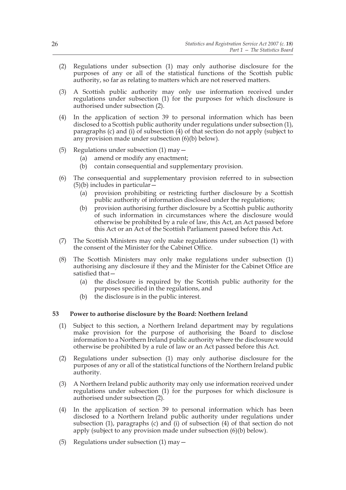- (2) Regulations under subsection (1) may only authorise disclosure for the purposes of any or all of the statistical functions of the Scottish public authority, so far as relating to matters which are not reserved matters.
- (3) A Scottish public authority may only use information received under regulations under subsection (1) for the purposes for which disclosure is authorised under subsection (2).
- (4) In the application of section 39 to personal information which has been disclosed to a Scottish public authority under regulations under subsection (1), paragraphs (c) and (i) of subsection (4) of that section do not apply (subject to any provision made under subsection (6)(b) below).
- (5) Regulations under subsection  $(1)$  may  $-$ 
	- (a) amend or modify any enactment;
	- (b) contain consequential and supplementary provision.
- (6) The consequential and supplementary provision referred to in subsection (5)(b) includes in particular—
	- (a) provision prohibiting or restricting further disclosure by a Scottish public authority of information disclosed under the regulations;
	- (b) provision authorising further disclosure by a Scottish public authority of such information in circumstances where the disclosure would otherwise be prohibited by a rule of law, this Act, an Act passed before this Act or an Act of the Scottish Parliament passed before this Act.
- (7) The Scottish Ministers may only make regulations under subsection (1) with the consent of the Minister for the Cabinet Office.
- (8) The Scottish Ministers may only make regulations under subsection (1) authorising any disclosure if they and the Minister for the Cabinet Office are satisfied that—
	- (a) the disclosure is required by the Scottish public authority for the purposes specified in the regulations, and
	- (b) the disclosure is in the public interest.

#### **53 Power to authorise disclosure by the Board: Northern Ireland**

- (1) Subject to this section, a Northern Ireland department may by regulations make provision for the purpose of authorising the Board to disclose information to a Northern Ireland public authority where the disclosure would otherwise be prohibited by a rule of law or an Act passed before this Act.
- (2) Regulations under subsection (1) may only authorise disclosure for the purposes of any or all of the statistical functions of the Northern Ireland public authority.
- (3) A Northern Ireland public authority may only use information received under regulations under subsection (1) for the purposes for which disclosure is authorised under subsection (2).
- (4) In the application of section 39 to personal information which has been disclosed to a Northern Ireland public authority under regulations under subsection (1), paragraphs (c) and (i) of subsection (4) of that section do not apply (subject to any provision made under subsection (6)(b) below).
- (5) Regulations under subsection  $(1)$  may  $-$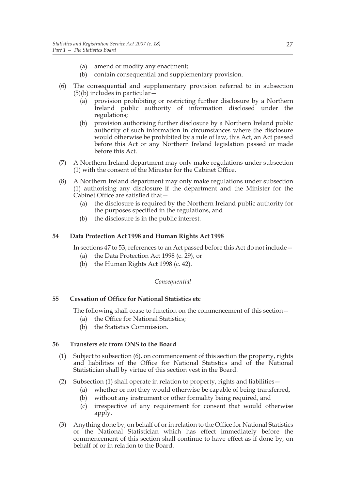- (a) amend or modify any enactment;
- (b) contain consequential and supplementary provision.
- (6) The consequential and supplementary provision referred to in subsection (5)(b) includes in particular—
	- (a) provision prohibiting or restricting further disclosure by a Northern Ireland public authority of information disclosed under the regulations;
	- (b) provision authorising further disclosure by a Northern Ireland public authority of such information in circumstances where the disclosure would otherwise be prohibited by a rule of law, this Act, an Act passed before this Act or any Northern Ireland legislation passed or made before this Act.
- (7) A Northern Ireland department may only make regulations under subsection (1) with the consent of the Minister for the Cabinet Office.
- (8) A Northern Ireland department may only make regulations under subsection (1) authorising any disclosure if the department and the Minister for the Cabinet Office are satisfied that—
	- (a) the disclosure is required by the Northern Ireland public authority for the purposes specified in the regulations, and
	- (b) the disclosure is in the public interest.

#### **54 Data Protection Act 1998 and Human Rights Act 1998**

In sections 47 to 53, references to an Act passed before this Act do not include—

- (a) the Data Protection Act 1998 (c. 29), or
- (b) the Human Rights Act 1998 (c. 42).

#### *Consequential*

#### **55 Cessation of Office for National Statistics etc**

The following shall cease to function on the commencement of this section—

- (a) the Office for National Statistics;
- (b) the Statistics Commission.

#### **56 Transfers etc from ONS to the Board**

- (1) Subject to subsection (6), on commencement of this section the property, rights and liabilities of the Office for National Statistics and of the National Statistician shall by virtue of this section vest in the Board.
- (2) Subsection (1) shall operate in relation to property, rights and liabilities  $-$ 
	- (a) whether or not they would otherwise be capable of being transferred,
	- (b) without any instrument or other formality being required, and
	- (c) irrespective of any requirement for consent that would otherwise apply.
- (3) Anything done by, on behalf of or in relation to the Office for National Statistics or the National Statistician which has effect immediately before the commencement of this section shall continue to have effect as if done by, on behalf of or in relation to the Board.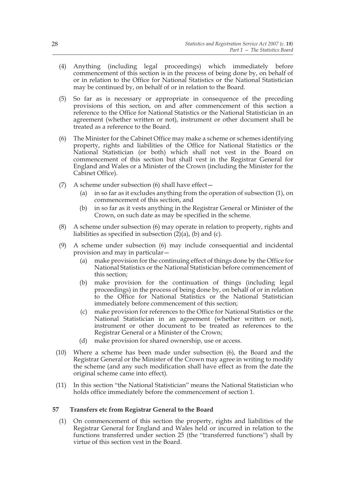- (4) Anything (including legal proceedings) which immediately before commencement of this section is in the process of being done by, on behalf of or in relation to the Office for National Statistics or the National Statistician may be continued by, on behalf of or in relation to the Board.
- (5) So far as is necessary or appropriate in consequence of the preceding provisions of this section, on and after commencement of this section a reference to the Office for National Statistics or the National Statistician in an agreement (whether written or not), instrument or other document shall be treated as a reference to the Board.
- (6) The Minister for the Cabinet Office may make a scheme or schemes identifying property, rights and liabilities of the Office for National Statistics or the National Statistician (or both) which shall not vest in the Board on commencement of this section but shall vest in the Registrar General for England and Wales or a Minister of the Crown (including the Minister for the Cabinet Office).
- (7) A scheme under subsection  $(6)$  shall have effect  $-$ 
	- (a) in so far as it excludes anything from the operation of subsection (1), on commencement of this section, and
	- (b) in so far as it vests anything in the Registrar General or Minister of the Crown, on such date as may be specified in the scheme.
- (8) A scheme under subsection (6) may operate in relation to property, rights and liabilities as specified in subsection  $(2)(a)$ ,  $(b)$  and  $(c)$ .
- (9) A scheme under subsection (6) may include consequential and incidental provision and may in particular—
	- (a) make provision for the continuing effect of things done by the Office for National Statistics or the National Statistician before commencement of this section;
	- (b) make provision for the continuation of things (including legal proceedings) in the process of being done by, on behalf of or in relation to the Office for National Statistics or the National Statistician immediately before commencement of this section;
	- (c) make provision for references to the Office for National Statistics or the National Statistician in an agreement (whether written or not), instrument or other document to be treated as references to the Registrar General or a Minister of the Crown;
	- (d) make provision for shared ownership, use or access.
- (10) Where a scheme has been made under subsection (6), the Board and the Registrar General or the Minister of the Crown may agree in writing to modify the scheme (and any such modification shall have effect as from the date the original scheme came into effect).
- (11) In this section "the National Statistician" means the National Statistician who holds office immediately before the commencement of section 1.

# **57 Transfers etc from Registrar General to the Board**

(1) On commencement of this section the property, rights and liabilities of the Registrar General for England and Wales held or incurred in relation to the functions transferred under section 25 (the "transferred functions") shall by virtue of this section vest in the Board.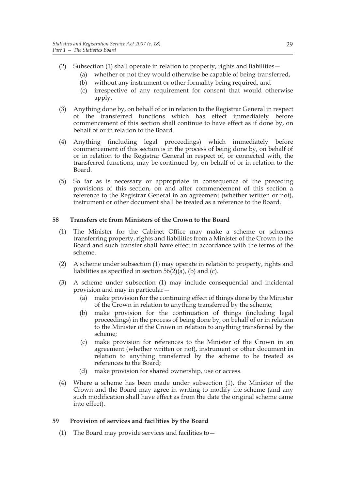- (2) Subsection (1) shall operate in relation to property, rights and liabilities—
	- (a) whether or not they would otherwise be capable of being transferred,
	- (b) without any instrument or other formality being required, and
	- (c) irrespective of any requirement for consent that would otherwise apply.
- (3) Anything done by, on behalf of or in relation to the Registrar General in respect of the transferred functions which has effect immediately before commencement of this section shall continue to have effect as if done by, on behalf of or in relation to the Board.
- (4) Anything (including legal proceedings) which immediately before commencement of this section is in the process of being done by, on behalf of or in relation to the Registrar General in respect of, or connected with, the transferred functions, may be continued by, on behalf of or in relation to the Board.
- (5) So far as is necessary or appropriate in consequence of the preceding provisions of this section, on and after commencement of this section a reference to the Registrar General in an agreement (whether written or not), instrument or other document shall be treated as a reference to the Board.

#### **58 Transfers etc from Ministers of the Crown to the Board**

- (1) The Minister for the Cabinet Office may make a scheme or schemes transferring property, rights and liabilities from a Minister of the Crown to the Board and such transfer shall have effect in accordance with the terms of the scheme.
- (2) A scheme under subsection (1) may operate in relation to property, rights and liabilities as specified in section  $56(2)(a)$ , (b) and (c).
- (3) A scheme under subsection (1) may include consequential and incidental provision and may in particular—
	- (a) make provision for the continuing effect of things done by the Minister of the Crown in relation to anything transferred by the scheme;
	- (b) make provision for the continuation of things (including legal proceedings) in the process of being done by, on behalf of or in relation to the Minister of the Crown in relation to anything transferred by the scheme;
	- (c) make provision for references to the Minister of the Crown in an agreement (whether written or not), instrument or other document in relation to anything transferred by the scheme to be treated as references to the Board;
	- (d) make provision for shared ownership, use or access.
- (4) Where a scheme has been made under subsection (1), the Minister of the Crown and the Board may agree in writing to modify the scheme (and any such modification shall have effect as from the date the original scheme came into effect).

#### **59 Provision of services and facilities by the Board**

(1) The Board may provide services and facilities to  $-$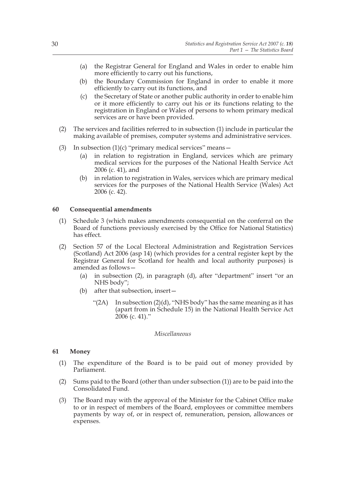- (a) the Registrar General for England and Wales in order to enable him more efficiently to carry out his functions,
- (b) the Boundary Commission for England in order to enable it more efficiently to carry out its functions, and
- (c) the Secretary of State or another public authority in order to enable him or it more efficiently to carry out his or its functions relating to the registration in England or Wales of persons to whom primary medical services are or have been provided.
- (2) The services and facilities referred to in subsection (1) include in particular the making available of premises, computer systems and administrative services.
- (3) In subsection  $(1)(c)$  "primary medical services" means -
	- (a) in relation to registration in England, services which are primary medical services for the purposes of the National Health Service Act 2006 (c. 41), and
	- (b) in relation to registration in Wales, services which are primary medical services for the purposes of the National Health Service (Wales) Act 2006 (c. 42).

#### **60 Consequential amendments**

- (1) Schedule 3 (which makes amendments consequential on the conferral on the Board of functions previously exercised by the Office for National Statistics) has effect.
- (2) Section 57 of the Local Electoral Administration and Registration Services (Scotland) Act 2006 (asp 14) (which provides for a central register kept by the Registrar General for Scotland for health and local authority purposes) is amended as follows—
	- (a) in subsection (2), in paragraph (d), after "department" insert "or an NHS body";
	- (b) after that subsection, insert—
		- "(2A) In subsection (2)(d), "NHS body" has the same meaning as it has (apart from in Schedule 15) in the National Health Service Act 2006 (c. 41)."

#### *Miscellaneous*

#### **61 Money**

- (1) The expenditure of the Board is to be paid out of money provided by Parliament.
- (2) Sums paid to the Board (other than under subsection (1)) are to be paid into the Consolidated Fund.
- (3) The Board may with the approval of the Minister for the Cabinet Office make to or in respect of members of the Board, employees or committee members payments by way of, or in respect of, remuneration, pension, allowances or expenses.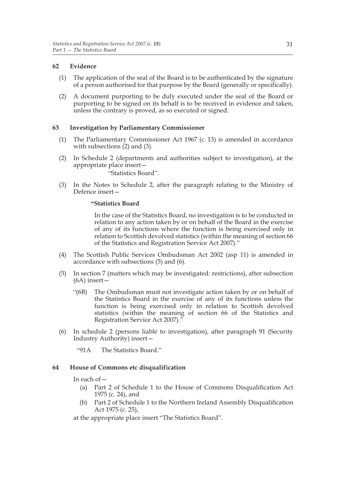# **62 Evidence**

- (1) The application of the seal of the Board is to be authenticated by the signature of a person authorised for that purpose by the Board (generally or specifically).
- (2) A document purporting to be duly executed under the seal of the Board or purporting to be signed on its behalf is to be received in evidence and taken, unless the contrary is proved, as so executed or signed.

# **63 Investigation by Parliamentary Commissioner**

- (1) The Parliamentary Commissioner Act 1967 (c. 13) is amended in accordance with subsections  $(2)$  and  $(3)$ .
- (2) In Schedule 2 (departments and authorities subject to investigation), at the appropriate place insert—

"Statistics Board".

(3) In the Notes to Schedule 2, after the paragraph relating to the Ministry of Defence insert—

#### **"Statistics Board**

In the case of the Statistics Board, no investigation is to be conducted in relation to any action taken by or on behalf of the Board in the exercise of any of its functions where the function is being exercised only in relation to Scottish devolved statistics (within the meaning of section 66 of the Statistics and Registration Service Act 2007)."

- (4) The Scottish Public Services Ombudsman Act 2002 (asp 11) is amended in accordance with subsections (5) and (6).
- (5) In section 7 (matters which may be investigated: restrictions), after subsection (6A) insert—
	- "(6B) The Ombudsman must not investigate action taken by or on behalf of the Statistics Board in the exercise of any of its functions unless the function is being exercised only in relation to Scottish devolved statistics (within the meaning of section 66 of the Statistics and Registration Service Act 2007)."
- (6) In schedule 2 (persons liable to investigation), after paragraph 91 (Security Industry Authority) insert—

"91A The Statistics Board."

#### **64 House of Commons etc disqualification**

In each of—

- (a) Part 2 of Schedule 1 to the House of Commons Disqualification Act 1975 (c. 24), and
- (b) Part 2 of Schedule 1 to the Northern Ireland Assembly Disqualification Act 1975 (c. 25),

at the appropriate place insert "The Statistics Board".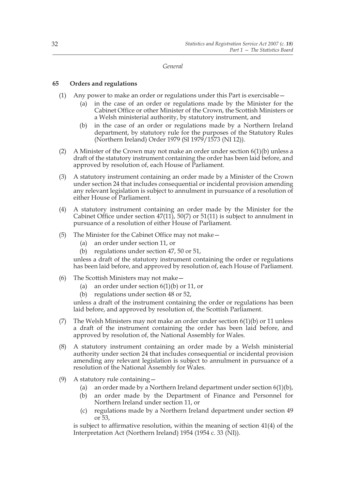#### *General*

# **65 Orders and regulations**

- (1) Any power to make an order or regulations under this Part is exercisable—
	- (a) in the case of an order or regulations made by the Minister for the Cabinet Office or other Minister of the Crown, the Scottish Ministers or a Welsh ministerial authority, by statutory instrument, and
	- (b) in the case of an order or regulations made by a Northern Ireland department, by statutory rule for the purposes of the Statutory Rules (Northern Ireland) Order 1979 (SI 1979/1573 (NI 12)).
- (2) A Minister of the Crown may not make an order under section  $6(1)(b)$  unless a draft of the statutory instrument containing the order has been laid before, and approved by resolution of, each House of Parliament.
- (3) A statutory instrument containing an order made by a Minister of the Crown under section 24 that includes consequential or incidental provision amending any relevant legislation is subject to annulment in pursuance of a resolution of either House of Parliament.
- (4) A statutory instrument containing an order made by the Minister for the Cabinet Office under section 47(11), 50(7) or 51(11) is subject to annulment in pursuance of a resolution of either House of Parliament.
- (5) The Minister for the Cabinet Office may not make—
	- (a) an order under section 11, or
	- (b) regulations under section 47, 50 or 51,

unless a draft of the statutory instrument containing the order or regulations has been laid before, and approved by resolution of, each House of Parliament.

- (6) The Scottish Ministers may not make—
	- (a) an order under section  $6(1)(b)$  or 11, or
	- (b) regulations under section 48 or 52,

unless a draft of the instrument containing the order or regulations has been laid before, and approved by resolution of, the Scottish Parliament.

- (7) The Welsh Ministers may not make an order under section  $6(1)(b)$  or 11 unless a draft of the instrument containing the order has been laid before, and approved by resolution of, the National Assembly for Wales.
- (8) A statutory instrument containing an order made by a Welsh ministerial authority under section 24 that includes consequential or incidental provision amending any relevant legislation is subject to annulment in pursuance of a resolution of the National Assembly for Wales.
- (9) A statutory rule containing—
	- (a) an order made by a Northern Ireland department under section 6(1)(b),
	- (b) an order made by the Department of Finance and Personnel for Northern Ireland under section 11, or
	- (c) regulations made by a Northern Ireland department under section 49 or 53,

is subject to affirmative resolution, within the meaning of section 41(4) of the Interpretation Act (Northern Ireland) 1954 (1954 c. 33 (NI)).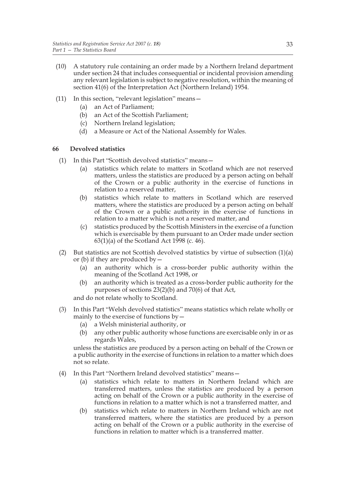- (10) A statutory rule containing an order made by a Northern Ireland department under section 24 that includes consequential or incidental provision amending any relevant legislation is subject to negative resolution, within the meaning of section 41(6) of the Interpretation Act (Northern Ireland) 1954.
- (11) In this section, "relevant legislation" means—
	- (a) an Act of Parliament;
	- (b) an Act of the Scottish Parliament;
	- (c) Northern Ireland legislation;
	- (d) a Measure or Act of the National Assembly for Wales.

# **66 Devolved statistics**

- (1) In this Part "Scottish devolved statistics" means—
	- (a) statistics which relate to matters in Scotland which are not reserved matters, unless the statistics are produced by a person acting on behalf of the Crown or a public authority in the exercise of functions in relation to a reserved matter,
	- (b) statistics which relate to matters in Scotland which are reserved matters, where the statistics are produced by a person acting on behalf of the Crown or a public authority in the exercise of functions in relation to a matter which is not a reserved matter, and
	- (c) statistics produced by the Scottish Ministers in the exercise of a function which is exercisable by them pursuant to an Order made under section 63(1)(a) of the Scotland Act 1998 (c. 46).
- (2) But statistics are not Scottish devolved statistics by virtue of subsection  $(1)(a)$ or (b) if they are produced by  $-$ 
	- (a) an authority which is a cross-border public authority within the meaning of the Scotland Act 1998, or
	- (b) an authority which is treated as a cross-border public authority for the purposes of sections 23(2)(b) and 70(6) of that Act,

and do not relate wholly to Scotland.

- (3) In this Part "Welsh devolved statistics" means statistics which relate wholly or mainly to the exercise of functions by—
	- (a) a Welsh ministerial authority, or
	- (b) any other public authority whose functions are exercisable only in or as regards Wales,

unless the statistics are produced by a person acting on behalf of the Crown or a public authority in the exercise of functions in relation to a matter which does not so relate.

- (4) In this Part "Northern Ireland devolved statistics" means—
	- (a) statistics which relate to matters in Northern Ireland which are transferred matters, unless the statistics are produced by a person acting on behalf of the Crown or a public authority in the exercise of functions in relation to a matter which is not a transferred matter, and
	- (b) statistics which relate to matters in Northern Ireland which are not transferred matters, where the statistics are produced by a person acting on behalf of the Crown or a public authority in the exercise of functions in relation to matter which is a transferred matter.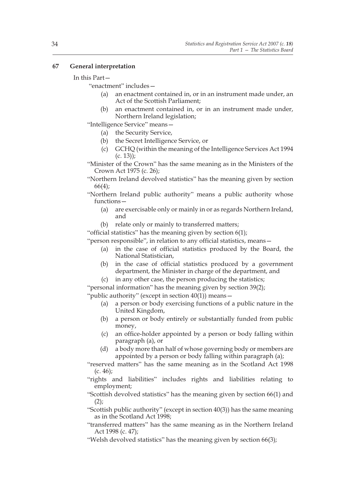#### **67 General interpretation**

#### In this Part—

"enactment" includes—

- (a) an enactment contained in, or in an instrument made under, an Act of the Scottish Parliament;
- (b) an enactment contained in, or in an instrument made under, Northern Ireland legislation;

"Intelligence Service" means—

- (a) the Security Service,
- (b) the Secret Intelligence Service, or
- (c) GCHQ (within the meaning of the Intelligence Services Act 1994 (c. 13));

"Minister of the Crown" has the same meaning as in the Ministers of the Crown Act 1975 (c. 26);

- "Northern Ireland devolved statistics" has the meaning given by section 66(4);
- "Northern Ireland public authority" means a public authority whose functions—
	- (a) are exercisable only or mainly in or as regards Northern Ireland, and
	- (b) relate only or mainly to transferred matters;

"official statistics" has the meaning given by section  $6(1)$ ;

"person responsible", in relation to any official statistics, means—

- (a) in the case of official statistics produced by the Board, the National Statistician,
- (b) in the case of official statistics produced by a government department, the Minister in charge of the department, and
- (c) in any other case, the person producing the statistics;

"personal information" has the meaning given by section 39(2); "public authority" (except in section 40(1)) means—

- (a) a person or body exercising functions of a public nature in the United Kingdom,
- (b) a person or body entirely or substantially funded from public money,
- (c) an office-holder appointed by a person or body falling within paragraph (a), or
- (d) a body more than half of whose governing body or members are appointed by a person or body falling within paragraph (a);

"reserved matters" has the same meaning as in the Scotland Act 1998  $(c. 46);$ 

"rights and liabilities" includes rights and liabilities relating to employment;

"Scottish devolved statistics" has the meaning given by section 66(1) and  $(2)$ ;

"Scottish public authority" (except in section 40(3)) has the same meaning as in the Scotland Act 1998;

"transferred matters" has the same meaning as in the Northern Ireland Act 1998 (c. 47);

"Welsh devolved statistics" has the meaning given by section 66(3);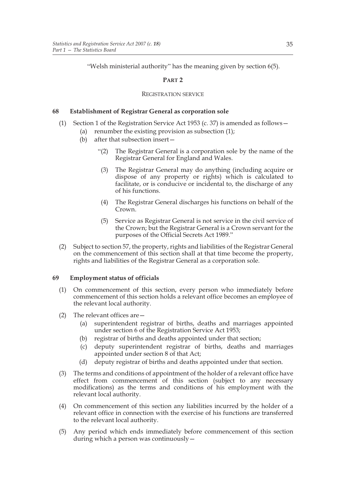"Welsh ministerial authority" has the meaning given by section 6(5).

#### **PART 2**

#### REGISTRATION SERVICE

#### **68 Establishment of Registrar General as corporation sole**

- (1) Section 1 of the Registration Service Act 1953 (c. 37) is amended as follows—
	- (a) renumber the existing provision as subsection (1);
		- (b) after that subsection insert—
			- "(2) The Registrar General is a corporation sole by the name of the Registrar General for England and Wales.
			- (3) The Registrar General may do anything (including acquire or dispose of any property or rights) which is calculated to facilitate, or is conducive or incidental to, the discharge of any of his functions.
			- (4) The Registrar General discharges his functions on behalf of the Crown.
			- (5) Service as Registrar General is not service in the civil service of the Crown; but the Registrar General is a Crown servant for the purposes of the Official Secrets Act 1989."
- (2) Subject to section 57, the property, rights and liabilities of the Registrar General on the commencement of this section shall at that time become the property, rights and liabilities of the Registrar General as a corporation sole.

#### **69 Employment status of officials**

- (1) On commencement of this section, every person who immediately before commencement of this section holds a relevant office becomes an employee of the relevant local authority.
- (2) The relevant offices are—
	- (a) superintendent registrar of births, deaths and marriages appointed under section 6 of the Registration Service Act 1953;
	- (b) registrar of births and deaths appointed under that section;
	- (c) deputy superintendent registrar of births, deaths and marriages appointed under section 8 of that Act;
	- (d) deputy registrar of births and deaths appointed under that section.
- (3) The terms and conditions of appointment of the holder of a relevant office have effect from commencement of this section (subject to any necessary modifications) as the terms and conditions of his employment with the relevant local authority.
- (4) On commencement of this section any liabilities incurred by the holder of a relevant office in connection with the exercise of his functions are transferred to the relevant local authority.
- (5) Any period which ends immediately before commencement of this section during which a person was continuously—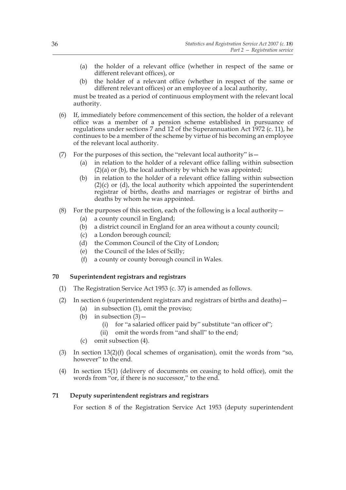- (a) the holder of a relevant office (whether in respect of the same or different relevant offices), or
- (b) the holder of a relevant office (whether in respect of the same or different relevant offices) or an employee of a local authority,

must be treated as a period of continuous employment with the relevant local authority.

- (6) If, immediately before commencement of this section, the holder of a relevant office was a member of a pension scheme established in pursuance of regulations under sections 7 and 12 of the Superannuation Act 1972 (c. 11), he continues to be a member of the scheme by virtue of his becoming an employee of the relevant local authority.
- (7) For the purposes of this section, the "relevant local authority" is  $-$ 
	- (a) in relation to the holder of a relevant office falling within subsection  $(2)(a)$  or  $(b)$ , the local authority by which he was appointed;
	- (b) in relation to the holder of a relevant office falling within subsection  $(2)(c)$  or  $(d)$ , the local authority which appointed the superintendent registrar of births, deaths and marriages or registrar of births and deaths by whom he was appointed.
- (8) For the purposes of this section, each of the following is a local authority  $-$ 
	- (a) a county council in England;
	- (b) a district council in England for an area without a county council;
	- (c) a London borough council;
	- (d) the Common Council of the City of London;
	- (e) the Council of the Isles of Scilly;
	- (f) a county or county borough council in Wales.

#### **70 Superintendent registrars and registrars**

- (1) The Registration Service Act 1953 (c. 37) is amended as follows.
- (2) In section 6 (superintendent registrars and registrars of births and deaths)—
	- (a) in subsection (1), omit the proviso;
	- (b) in subsection  $(3)$  -
		- (i) for "a salaried officer paid by" substitute "an officer of";
		- (ii) omit the words from "and shall" to the end;
	- (c) omit subsection (4).
- (3) In section 13(2)(f) (local schemes of organisation), omit the words from "so, however" to the end.
- (4) In section 15(1) (delivery of documents on ceasing to hold office), omit the words from "or, if there is no successor," to the end.

#### **71 Deputy superintendent registrars and registrars**

For section 8 of the Registration Service Act 1953 (deputy superintendent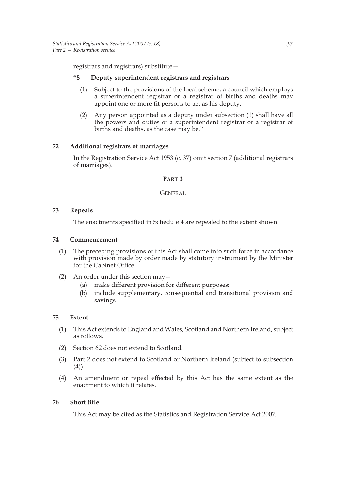registrars and registrars) substitute—

#### **"8 Deputy superintendent registrars and registrars**

- (1) Subject to the provisions of the local scheme, a council which employs a superintendent registrar or a registrar of births and deaths may appoint one or more fit persons to act as his deputy.
- (2) Any person appointed as a deputy under subsection (1) shall have all the powers and duties of a superintendent registrar or a registrar of births and deaths, as the case may be."

# **72 Additional registrars of marriages**

In the Registration Service Act 1953 (c. 37) omit section 7 (additional registrars of marriages).

# **PART 3**

# GENERAL

# **73 Repeals**

The enactments specified in Schedule 4 are repealed to the extent shown.

#### **74 Commencement**

- (1) The preceding provisions of this Act shall come into such force in accordance with provision made by order made by statutory instrument by the Minister for the Cabinet Office.
- (2) An order under this section may—
	- (a) make different provision for different purposes;
	- (b) include supplementary, consequential and transitional provision and savings.

#### **75 Extent**

- (1) This Act extends to England and Wales, Scotland and Northern Ireland, subject as follows.
- (2) Section 62 does not extend to Scotland.
- (3) Part 2 does not extend to Scotland or Northern Ireland (subject to subsection  $(4)$ ).
- (4) An amendment or repeal effected by this Act has the same extent as the enactment to which it relates.

#### **76 Short title**

This Act may be cited as the Statistics and Registration Service Act 2007.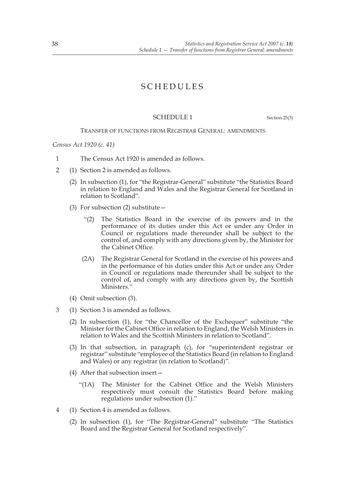# SCHEDULES

# SCHEDULE 1 Section 25(3)

#### TRANSFER OF FUNCTIONS FROM REGISTRAR GENERAL: AMENDMENTS

*Census Act 1920 (c. 41)*

- 1 The Census Act 1920 is amended as follows.
- 2 (1) Section 2 is amended as follows.
	- (2) In subsection (1), for "the Registrar-General" substitute "the Statistics Board in relation to England and Wales and the Registrar General for Scotland in relation to Scotland".
	- (3) For subsection (2) substitute  $-$ 
		- "(2) The Statistics Board in the exercise of its powers and in the performance of its duties under this Act or under any Order in Council or regulations made thereunder shall be subject to the control of, and comply with any directions given by, the Minister for the Cabinet Office.
		- (2A) The Registrar General for Scotland in the exercise of his powers and in the performance of his duties under this Act or under any Order in Council or regulations made thereunder shall be subject to the control of, and comply with any directions given by, the Scottish Ministers."
	- (4) Omit subsection (3).
- 3 (1) Section 3 is amended as follows.
	- (2) In subsection (1), for "the Chancellor of the Exchequer" substitute "the Minister for the Cabinet Office in relation to England, the Welsh Ministers in relation to Wales and the Scottish Ministers in relation to Scotland".
	- (3) In that subsection, in paragraph (c), for "superintendent registrar or registrar" substitute "employee of the Statistics Board (in relation to England and Wales) or any registrar (in relation to Scotland)".
	- (4) After that subsection insert—
		- "(1A) The Minister for the Cabinet Office and the Welsh Ministers respectively must consult the Statistics Board before making regulations under subsection (1)."
- 4 (1) Section 4 is amended as follows.
	- (2) In subsection (1), for "The Registrar-General" substitute "The Statistics Board and the Registrar General for Scotland respectively".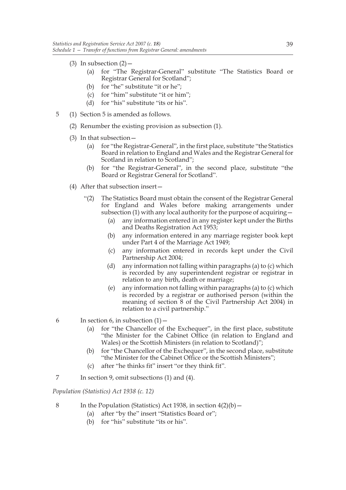- (3) In subsection  $(2)$ 
	- (a) for "The Registrar-General" substitute "The Statistics Board or Registrar General for Scotland";
	- (b) for "he" substitute "it or he";
	- (c) for "him" substitute "it or him";
	- (d) for "his" substitute "its or his".
- 5 (1) Section 5 is amended as follows.
	- (2) Renumber the existing provision as subsection (1).
	- (3) In that subsection—
		- (a) for "the Registrar-General", in the first place, substitute "the Statistics Board in relation to England and Wales and the Registrar General for Scotland in relation to Scotland";
		- (b) for "the Registrar-General", in the second place, substitute "the Board or Registrar General for Scotland".
	- (4) After that subsection insert—
		- "(2) The Statistics Board must obtain the consent of the Registrar General for England and Wales before making arrangements under subsection (1) with any local authority for the purpose of acquiring—
			- (a) any information entered in any register kept under the Births and Deaths Registration Act 1953;
			- (b) any information entered in any marriage register book kept under Part 4 of the Marriage Act 1949;
			- (c) any information entered in records kept under the Civil Partnership Act 2004;
			- (d) any information not falling within paragraphs (a) to (c) which is recorded by any superintendent registrar or registrar in relation to any birth, death or marriage;
			- (e) any information not falling within paragraphs (a) to (c) which is recorded by a registrar or authorised person (within the meaning of section 8 of the Civil Partnership Act 2004) in relation to a civil partnership."
- 6 In section 6, in subsection  $(1)$ 
	- (a) for "the Chancellor of the Exchequer", in the first place, substitute "the Minister for the Cabinet Office (in relation to England and Wales) or the Scottish Ministers (in relation to Scotland)";
	- (b) for "the Chancellor of the Exchequer", in the second place, substitute "the Minister for the Cabinet Office or the Scottish Ministers";
	- (c) after "he thinks fit" insert "or they think fit".
- 7 In section 9, omit subsections (1) and (4).

*Population (Statistics) Act 1938 (c. 12)*

- 8 In the Population (Statistics) Act 1938, in section  $4(2)(b)$ 
	- (a) after "by the" insert "Statistics Board or";
	- (b) for "his" substitute "its or his".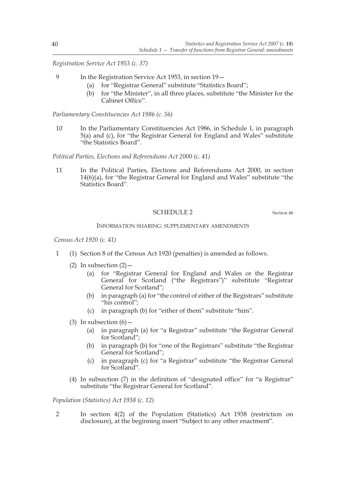*Registration Service Act 1953 (c. 37)*

- 9 In the Registration Service Act 1953, in section 19—
	- (a) for "Registrar General" substitute "Statistics Board";
	- (b) for "the Minister", in all three places, substitute "the Minister for the Cabinet Office".

*Parliamentary Constituencies Act 1986 (c. 56)*

10 In the Parliamentary Constituencies Act 1986, in Schedule 1, in paragraph 5(a) and (c), for "the Registrar General for England and Wales" substitute "the Statistics Board".

*Political Parties, Elections and Referendums Act 2000 (c. 41)*

11 In the Political Parties, Elections and Referendums Act 2000, in section 14(6)(a), for "the Registrar General for England and Wales" substitute "the Statistics Board".

#### SCHEDULE 2 Section 46

#### INFORMATION SHARING: SUPPLEMENTARY AMENDMENTS

 *Census Act 1920 (c. 41)*

- 1 (1) Section 8 of the Census Act 1920 (penalties) is amended as follows.
	- (2) In subsection  $(2)$ 
		- (a) for "Registrar General for England and Wales or the Registrar General for Scotland ("the Registrars")" substitute "Registrar General for Scotland";
		- (b) in paragraph (a) for "the control of either of the Registrars" substitute "his control";
		- (c) in paragraph (b) for "either of them" substitute "him".
	- (3) In subsection  $(6)$  -
		- (a) in paragraph (a) for "a Registrar" substitute "the Registrar General for Scotland";
		- (b) in paragraph (b) for "one of the Registrars" substitute "the Registrar General for Scotland";
		- (c) in paragraph (c) for "a Registrar" substitute "the Registrar General for Scotland".
	- (4) In subsection (7) in the definition of "designated office" for "a Registrar" substitute "the Registrar General for Scotland".

*Population (Statistics) Act 1938 (c. 12)*

2 In section 4(2) of the Population (Statistics) Act 1938 (restriction on disclosure), at the beginning insert "Subject to any other enactment".

40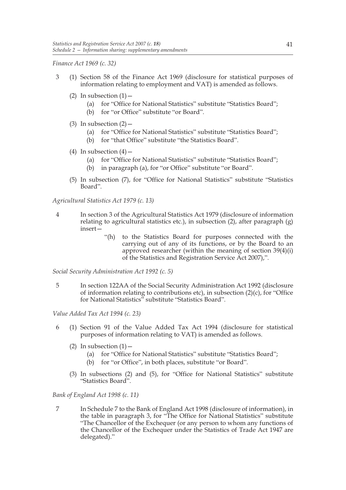*Finance Act 1969 (c. 32)*

- 3 (1) Section 58 of the Finance Act 1969 (disclosure for statistical purposes of information relating to employment and VAT) is amended as follows.
	- (2) In subsection  $(1)$  -
		- (a) for "Office for National Statistics" substitute "Statistics Board";
		- (b) for "or Office" substitute "or Board".
	- (3) In subsection  $(2)$ 
		- (a) for "Office for National Statistics" substitute "Statistics Board";
		- (b) for "that Office" substitute "the Statistics Board".
	- (4) In subsection  $(4)$ 
		- (a) for "Office for National Statistics" substitute "Statistics Board";
		- (b) in paragraph (a), for "or Office" substitute "or Board".
	- (5) In subsection (7), for "Office for National Statistics" substitute "Statistics Board".

*Agricultural Statistics Act 1979 (c. 13)*

- 4 In section 3 of the Agricultural Statistics Act 1979 (disclosure of information relating to agricultural statistics etc.), in subsection (2), after paragraph (g) insert—
	- "(h) to the Statistics Board for purposes connected with the carrying out of any of its functions, or by the Board to an approved researcher (within the meaning of section 39(4)(i) of the Statistics and Registration Service Act 2007),".

*Social Security Administration Act 1992 (c. 5)*

5 In section 122AA of the Social Security Administration Act 1992 (disclosure of information relating to contributions etc), in subsection (2)(c), for "Office for National Statistics" substitute "Statistics Board".

*Value Added Tax Act 1994 (c. 23)*

- 6 (1) Section 91 of the Value Added Tax Act 1994 (disclosure for statistical purposes of information relating to VAT) is amended as follows.
	- (2) In subsection  $(1)$  -
		- (a) for "Office for National Statistics" substitute "Statistics Board";
		- (b) for "or Office", in both places, substitute "or Board".
	- (3) In subsections (2) and (5), for "Office for National Statistics" substitute "Statistics Board".

*Bank of England Act 1998 (c. 11)*

7 In Schedule 7 to the Bank of England Act 1998 (disclosure of information), in the table in paragraph 3, for "The Office for National Statistics" substitute "The Chancellor of the Exchequer (or any person to whom any functions of the Chancellor of the Exchequer under the Statistics of Trade Act 1947 are delegated)."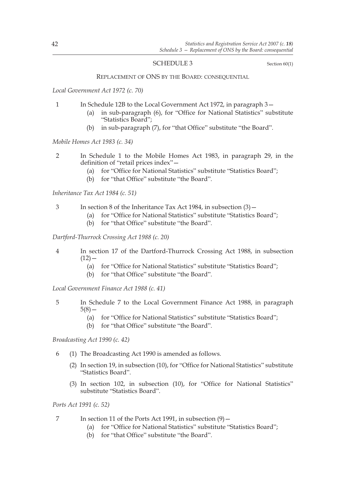#### SCHEDULE 3 Section 60(1)

#### REPLACEMENT OF ONS BY THE BOARD: CONSEQUENTIAL

*Local Government Act 1972 (c. 70)*

- 1 In Schedule 12B to the Local Government Act 1972, in paragraph 3—
	- (a) in sub-paragraph (6), for "Office for National Statistics" substitute "Statistics Board";
	- (b) in sub-paragraph (7), for "that Office" substitute "the Board".

*Mobile Homes Act 1983 (c. 34)*

- 2 In Schedule 1 to the Mobile Homes Act 1983, in paragraph 29, in the definition of "retail prices index"—
	- (a) for "Office for National Statistics" substitute "Statistics Board";
	- (b) for "that Office" substitute "the Board".

*Inheritance Tax Act 1984 (c. 51)*

- 3 In section 8 of the Inheritance Tax Act 1984, in subsection (3)—
	- (a) for "Office for National Statistics" substitute "Statistics Board";
	- (b) for "that Office" substitute "the Board".

*Dartford-Thurrock Crossing Act 1988 (c. 20)*

- 4 In section 17 of the Dartford-Thurrock Crossing Act 1988, in subsection  $(12)$  —
	- (a) for "Office for National Statistics" substitute "Statistics Board";
	- (b) for "that Office" substitute "the Board".

*Local Government Finance Act 1988 (c. 41)*

- 5 In Schedule 7 to the Local Government Finance Act 1988, in paragraph  $5(8)$  —
	- (a) for "Office for National Statistics" substitute "Statistics Board";
	- (b) for "that Office" substitute "the Board".

*Broadcasting Act 1990 (c. 42)*

- 6 (1) The Broadcasting Act 1990 is amended as follows.
	- (2) In section 19, in subsection (10), for "Office for National Statistics" substitute "Statistics Board".
	- (3) In section 102, in subsection (10), for "Office for National Statistics" substitute "Statistics Board".

*Ports Act 1991 (c. 52)*

- 7 In section 11 of the Ports Act 1991, in subsection (9)
	- (a) for "Office for National Statistics" substitute "Statistics Board";
	- (b) for "that Office" substitute "the Board".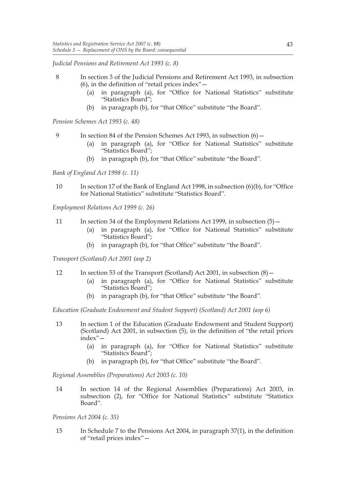*Judicial Pensions and Retirement Act 1993 (c. 8)*

- 8 In section 3 of the Judicial Pensions and Retirement Act 1993, in subsection (6), in the definition of "retail prices index"—
	- (a) in paragraph (a), for "Office for National Statistics" substitute "Statistics Board";
	- (b) in paragraph (b), for "that Office" substitute "the Board".

*Pension Schemes Act 1993 (c. 48)*

- 9 In section 84 of the Pension Schemes Act 1993, in subsection  $(6)$ 
	- (a) in paragraph (a), for "Office for National Statistics" substitute "Statistics Board";
	- (b) in paragraph (b), for "that Office" substitute "the Board".

*Bank of England Act 1998 (c. 11)*

10 In section 17 of the Bank of England Act 1998, in subsection (6)(b), for "Office for National Statistics" substitute "Statistics Board".

*Employment Relations Act 1999 (c. 26)*

- 11 In section 34 of the Employment Relations Act 1999, in subsection (5)
	- (a) in paragraph (a), for "Office for National Statistics" substitute "Statistics Board";
	- (b) in paragraph (b), for "that Office" substitute "the Board".

*Transport (Scotland) Act 2001 (asp 2)*

- 12 In section 53 of the Transport (Scotland) Act 2001, in subsection (8)—
	- (a) in paragraph (a), for "Office for National Statistics" substitute "Statistics Board";
	- (b) in paragraph (b), for "that Office" substitute "the Board".

*Education (Graduate Endowment and Student Support) (Scotland) Act 2001 (asp 6)*

- 13 In section 1 of the Education (Graduate Endowment and Student Support) (Scotland) Act 2001, in subsection  $(5)$ , in the definition of "the retail prices index"—
	- (a) in paragraph (a), for "Office for National Statistics" substitute "Statistics Board";
	- (b) in paragraph (b), for "that Office" substitute "the Board".

*Regional Assemblies (Preparations) Act 2003 (c. 10)*

14 In section 14 of the Regional Assemblies (Preparations) Act 2003, in subsection (2), for "Office for National Statistics" substitute "Statistics Board".

*Pensions Act 2004 (c. 35)*

15 In Schedule 7 to the Pensions Act 2004, in paragraph 37(1), in the definition of "retail prices index"—